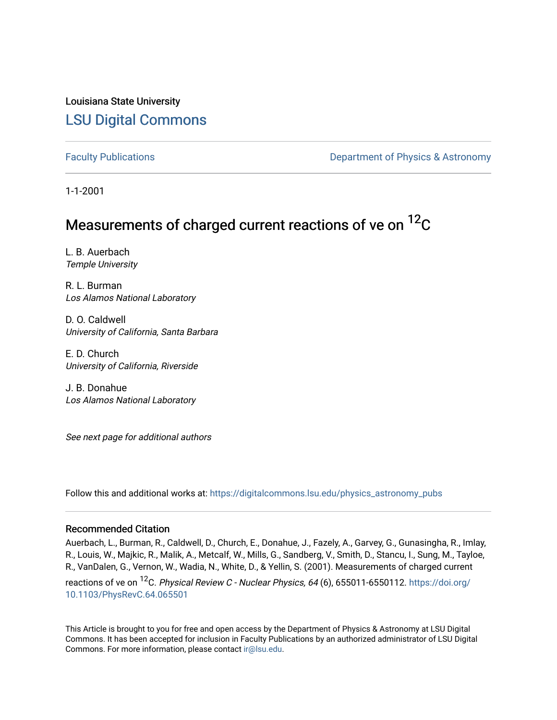Louisiana State University [LSU Digital Commons](https://digitalcommons.lsu.edu/)

[Faculty Publications](https://digitalcommons.lsu.edu/physics_astronomy_pubs) **Exercise 2 and Table 2 and Table 2 and Table 2 and Table 2 and Table 2 and Table 2 and Table 2 and Table 2 and Table 2 and Table 2 and Table 2 and Table 2 and Table 2 and Table 2 and Table 2 and Table** 

1-1-2001

# Measurements of charged current reactions of ve on  ${}^{12}C$

L. B. Auerbach Temple University

R. L. Burman Los Alamos National Laboratory

D. O. Caldwell University of California, Santa Barbara

E. D. Church University of California, Riverside

J. B. Donahue Los Alamos National Laboratory

See next page for additional authors

Follow this and additional works at: [https://digitalcommons.lsu.edu/physics\\_astronomy\\_pubs](https://digitalcommons.lsu.edu/physics_astronomy_pubs?utm_source=digitalcommons.lsu.edu%2Fphysics_astronomy_pubs%2F3445&utm_medium=PDF&utm_campaign=PDFCoverPages) 

#### Recommended Citation

Auerbach, L., Burman, R., Caldwell, D., Church, E., Donahue, J., Fazely, A., Garvey, G., Gunasingha, R., Imlay, R., Louis, W., Majkic, R., Malik, A., Metcalf, W., Mills, G., Sandberg, V., Smith, D., Stancu, I., Sung, M., Tayloe, R., VanDalen, G., Vernon, W., Wadia, N., White, D., & Yellin, S. (2001). Measurements of charged current reactions of ve on <sup>12</sup>C. Physical Review C - Nuclear Physics, 64 (6), 655011-6550112. [https://doi.org/](https://doi.org/10.1103/PhysRevC.64.065501) [10.1103/PhysRevC.64.065501](https://doi.org/10.1103/PhysRevC.64.065501)

This Article is brought to you for free and open access by the Department of Physics & Astronomy at LSU Digital Commons. It has been accepted for inclusion in Faculty Publications by an authorized administrator of LSU Digital Commons. For more information, please contact [ir@lsu.edu](mailto:ir@lsu.edu).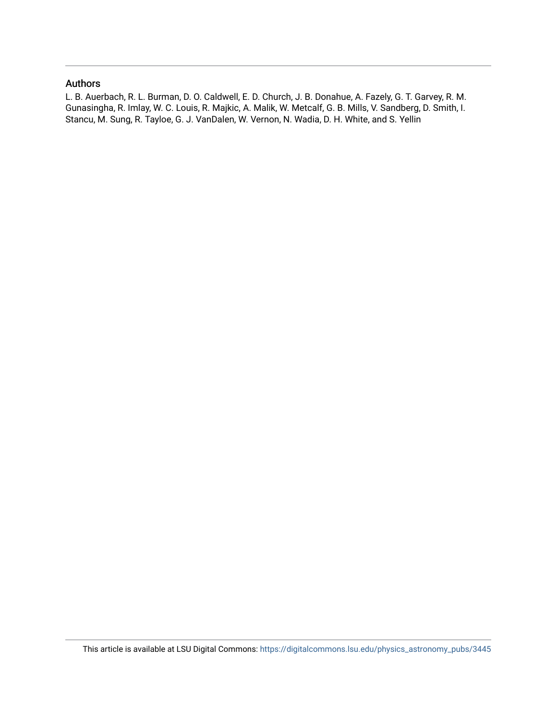#### Authors

L. B. Auerbach, R. L. Burman, D. O. Caldwell, E. D. Church, J. B. Donahue, A. Fazely, G. T. Garvey, R. M. Gunasingha, R. Imlay, W. C. Louis, R. Majkic, A. Malik, W. Metcalf, G. B. Mills, V. Sandberg, D. Smith, I. Stancu, M. Sung, R. Tayloe, G. J. VanDalen, W. Vernon, N. Wadia, D. H. White, and S. Yellin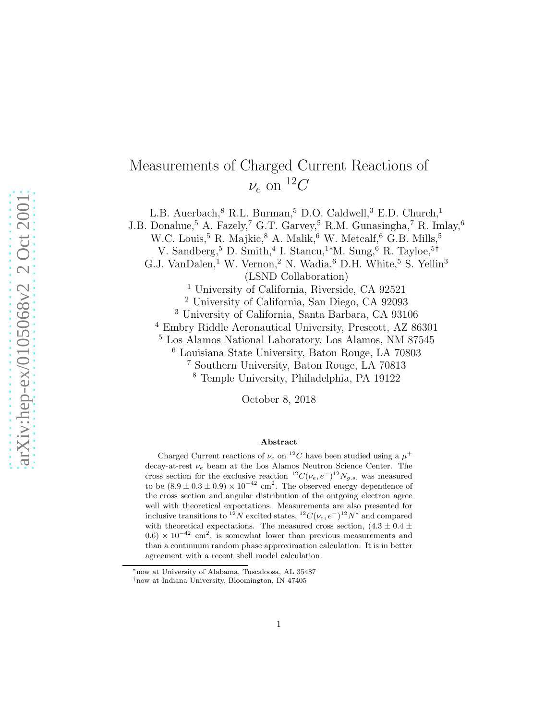## Measurements of Charged Current Reactions of  $\nu_e$  on  ${}^{12}C$

L.B. Auerbach, $^8$  R.L. Burman, $^5$  D.O. Caldwell, $^3$  E.D. Church, $^1$ 

J.B. Donahue,<sup>5</sup> A. Fazely,<sup>7</sup> G.T. Garvey,<sup>5</sup> R.M. Gunasingha,<sup>7</sup> R. Imlay,<sup>6</sup>

W.C. Louis,<sup>5</sup> R. Majkic,<sup>8</sup> A. Malik,<sup>6</sup> W. Metcalf,<sup>6</sup> G.B. Mills,<sup>5</sup>

V. Sandberg,<sup>5</sup> D. Smith,<sup>4</sup> I. Stancu,<sup>1</sup>\*M. Sung,<sup>6</sup> R. Tayloe,<sup>5†</sup>

G.J. VanDalen,<sup>1</sup> W. Vernon,<sup>2</sup> N. Wadia,<sup>6</sup> D.H. White,<sup>5</sup> S. Yellin<sup>3</sup> (LSND Collaboration)

<sup>1</sup> University of California, Riverside, CA 92521

<sup>2</sup> University of California, San Diego, CA 92093

<sup>3</sup> University of California, Santa Barbara, CA 93106

<sup>4</sup> Embry Riddle Aeronautical University, Prescott, AZ 86301

<sup>5</sup> Los Alamos National Laboratory, Los Alamos, NM 87545

<sup>6</sup> Louisiana State University, Baton Rouge, LA 70803

<sup>7</sup> Southern University, Baton Rouge, LA 70813

<sup>8</sup> Temple University, Philadelphia, PA 19122

October 8, 2018

#### Abstract

Charged Current reactions of  $\nu_e$  on <sup>12</sup>C have been studied using a  $\mu^+$ decay-at-rest  $\nu_e$  beam at the Los Alamos Neutron Science Center. The cross section for the exclusive reaction  ${}^{12}C(\nu_e, e^-){}^{12}N_{g.s.}$  was measured to be  $(8.9 \pm 0.3 \pm 0.9) \times 10^{-42}$  cm<sup>2</sup>. The observed energy dependence of the cross section and angular distribution of the outgoing electron agree well with theoretical expectations. Measurements are also presented for inclusive transitions to <sup>12</sup>N excited states, <sup>12</sup>C( $\nu_e$ ,  $e^{-}\right)^{12}N^*$  and compared with theoretical expectations. The measured cross section,  $(4.3 \pm 0.4 \pm 1.0)$  $(0.6) \times 10^{-42}$  cm<sup>2</sup>, is somewhat lower than previous measurements and than a continuum random phase approximation calculation. It is in better agreement with a recent shell model calculation.

<sup>∗</sup>now at University of Alabama, Tuscaloosa, AL 35487

<sup>†</sup>now at Indiana University, Bloomington, IN 47405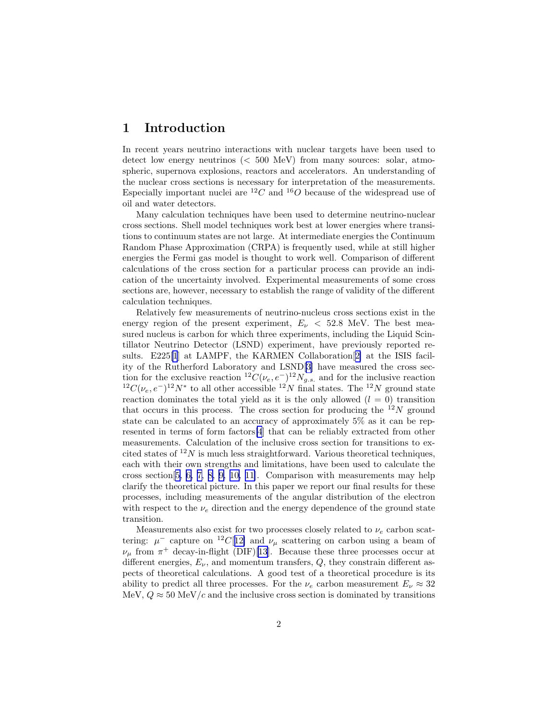#### 1 Introduction

In recent years neutrino interactions with nuclear targets have been used to detect low energy neutrinos (< 500 MeV) from many sources: solar, atmospheric, supernova explosions, reactors and accelerators. An understanding of the nuclear cross sections is necessary for interpretation of the measurements. Especially important nuclei are  ${}^{12}C$  and  ${}^{16}O$  because of the widespread use of oil and water detectors.

Many calculation techniques have been used to determine neutrino-nuclear cross sections. Shell model techniques work best at lower energies where transitions to continuum states are not large. At intermediate energies the Continuum Random Phase Approximation (CRPA) is frequently used, while at still higher energies the Fermi gas model is thought to work well. Comparison of different calculations of the cross section for a particular process can provide an indication of the uncertainty involved. Experimental measurements of some cross sections are, however, necessary to establish the range of validity of the different calculation techniques.

Relatively few measurements of neutrino-nucleus cross sections exist in the energy region of the present experiment,  $E_{\nu}$  < 52.8 MeV. The best measured nucleus is carbon for which three experiments, including the Liquid Scintillator Neutrino Detector (LSND) experiment, have previously reported results. E225[\[1](#page-34-0)] at LAMPF, the KARMEN Collaboration[[2\]](#page-34-0) at the ISIS facility of the Rutherford Laboratory and LSND[[3](#page-34-0)] have measured the cross section for the exclusive reaction  ${}^{12}C(\nu_e, e^-){}^{12}N_{g.s.}$  and for the inclusive reaction  ${}^{12}C(\nu_e, e^-){}^{12}N^*$  to all other accessible  ${}^{12}N$  final states. The  ${}^{12}N$  ground state reaction dominates the total yield as it is the only allowed  $(l = 0)$  transition that occurs in this process. The cross section for producing the  $12N$  ground state can be calculated to an accuracy of approximately 5% as it can be represented in terms of form factors[\[4](#page-34-0)] that can be reliably extracted from other measurements. Calculation of the inclusive cross section for transitions to excited states of  $^{12}N$  is much less straightforward. Various theoretical techniques, each with their own strengths and limitations, have been used to calculate the cross section[[5, 6, 7, 8, 9, 10, 11\]](#page-34-0). Comparison with measurements may help clarify the theoretical picture. In this paper we report our final results for these processes, including measurements of the angular distribution of the electron with respect to the  $\nu_e$  direction and the energy dependence of the ground state transition.

Measurements also exist for two processes closely related to  $\nu_e$  carbon scattering:  $\mu^-$  capture on <sup>12</sup>C[[12\]](#page-34-0) and  $\nu_\mu$  scattering on carbon using a beam of  $\nu_{\mu}$  from  $\pi^{+}$  decay-in-flight (DIF)[\[13](#page-34-0)]. Because these three processes occur at different energies,  $E_{\nu}$ , and momentum transfers,  $Q$ , they constrain different aspects of theoretical calculations. A good test of a theoretical procedure is its ability to predict all three processes. For the  $\nu_e$  carbon measurement  $E_{\nu} \approx 32$ MeV,  $Q \approx 50 \text{ MeV}/c$  and the inclusive cross section is dominated by transitions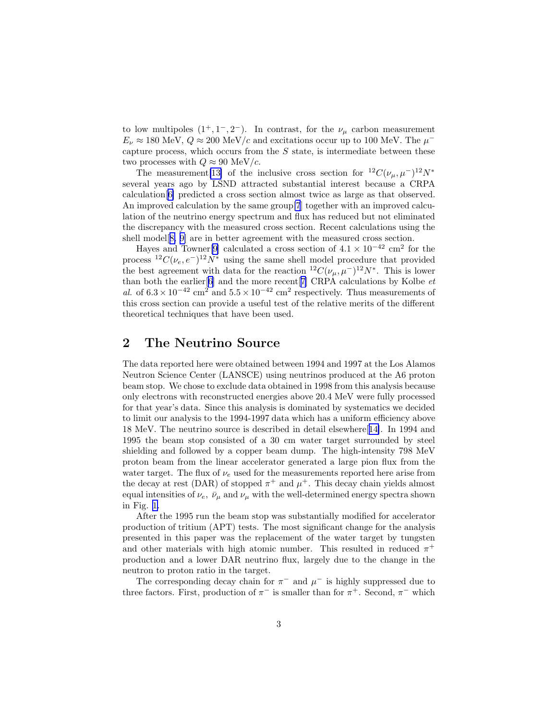<span id="page-4-0"></span>to low multipoles  $(1^+, 1^-, 2^-)$ . In contrast, for the  $\nu_\mu$  carbon measurement  $E_{\nu} \approx 180$  MeV,  $Q \approx 200$  MeV/c and excitations occur up to 100 MeV. The  $\mu^$ capture process, which occurs from the  $S$  state, is intermediate between these two processes with  $Q \approx 90$  MeV/c.

The measurement[\[13\]](#page-34-0) of the inclusive cross section for  ${}^{12}C(\nu_{\mu}, \mu^{-}){}^{12}N^*$ several years ago by LSND attracted substantial interest because a CRPA calculation[[6\]](#page-34-0) predicted a cross section almost twice as large as that observed. An improved calculation by the same group[\[7](#page-34-0)] together with an improved calculation of the neutrino energy spectrum and flux has reduced but not eliminated the discrepancy with the measured cross section. Recent calculations using the shell model[[8, 9\]](#page-34-0) are in better agreement with the measured cross section.

Hayes and Towner<sup>[\[9](#page-34-0)]</sup> calculated a cross section of  $4.1 \times 10^{-42}$  cm<sup>2</sup> for the process  ${}^{12}C(\nu_e, e^-){}^{12}\dot{N}^*$  using the same shell model procedure that provided the best agreement with data for the reaction  ${}^{12}C(\nu_{\mu}, \mu^{-}){}^{12}N^*$ . This is lower than both the earlier[[6\]](#page-34-0) and the more recent<sup>[[7\]](#page-34-0)</sup> CRPA calculations by Kolbe  $et$ al. of  $6.3 \times 10^{-42}$  cm<sup>2</sup> and  $5.5 \times 10^{-42}$  cm<sup>2</sup> respectively. Thus measurements of this cross section can provide a useful test of the relative merits of the different theoretical techniques that have been used.

#### 2 The Neutrino Source

The data reported here were obtained between 1994 and 1997 at the Los Alamos Neutron Science Center (LANSCE) using neutrinos produced at the A6 proton beam stop. We chose to exclude data obtained in 1998 from this analysis because only electrons with reconstructed energies above 20.4 MeV were fully processed for that year's data. Since this analysis is dominated by systematics we decided to limit our analysis to the 1994-1997 data which has a uniform efficiency above 18 MeV. The neutrino source is described in detail elsewhere[[14\]](#page-34-0). In 1994 and 1995 the beam stop consisted of a 30 cm water target surrounded by steel shielding and followed by a copper beam dump. The high-intensity 798 MeV proton beam from the linear accelerator generated a large pion flux from the water target. The flux of  $\nu_e$  used for the measurements reported here arise from the decay at rest (DAR) of stopped  $\pi^+$  and  $\mu^+$ . This decay chain yields almost equal intensities of  $\nu_e$ ,  $\bar{\nu}_\mu$  and  $\nu_\mu$  with the well-determined energy spectra shown in Fig. [1.](#page-5-0)

After the 1995 run the beam stop was substantially modified for accelerator production of tritium (APT) tests. The most significant change for the analysis presented in this paper was the replacement of the water target by tungsten and other materials with high atomic number. This resulted in reduced  $\pi^+$ production and a lower DAR neutrino flux, largely due to the change in the neutron to proton ratio in the target.

The corresponding decay chain for  $\pi^-$  and  $\mu^-$  is highly suppressed due to three factors. First, production of  $\pi^-$  is smaller than for  $\pi^+$ . Second,  $\pi^-$  which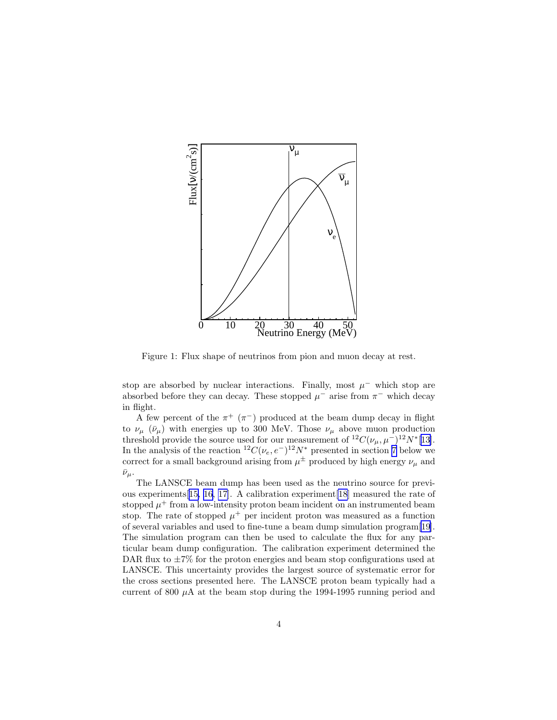<span id="page-5-0"></span>

Figure 1: Flux shape of neutrinos from pion and muon decay at rest.

stop are absorbed by nuclear interactions. Finally, most  $\mu^-$  which stop are absorbed before they can decay. These stopped  $\mu^-$  arise from  $\pi^-$  which decay in flight.

A few percent of the  $\pi^+$  ( $\pi^-$ ) produced at the beam dump decay in flight to  $\nu_{\mu}$  ( $\bar{\nu}_{\mu}$ ) with energies up to 300 MeV. Those  $\nu_{\mu}$  above muon production threshold provide the source used for our measurement of  ${}^{12}C(\nu_{\mu}, \mu^{-}){}^{12}N^{*}[13]$  ${}^{12}C(\nu_{\mu}, \mu^{-}){}^{12}N^{*}[13]$ . In the analysis of the reaction <sup>12</sup>C( $\nu_e$ , e<sup>-</sup>)<sup>12</sup>N<sup>\*</sup> presented in section [7](#page-20-0) below we correct for a small background arising from  $\mu^{\pm}$  produced by high energy  $\nu_{\mu}$  and  $\bar{\nu}_{\mu}$ .

The LANSCE beam dump has been used as the neutrino source for previous experiments[[15, 16, 17\]](#page-34-0). A calibration experiment[\[18](#page-34-0)] measured the rate of stopped  $\mu^+$  from a low-intensity proton beam incident on an instrumented beam stop. The rate of stopped  $\mu^+$  per incident proton was measured as a function of several variables and used to fine-tune a beam dump simulation program[\[19\]](#page-34-0). The simulation program can then be used to calculate the flux for any particular beam dump configuration. The calibration experiment determined the DAR flux to  $\pm 7\%$  for the proton energies and beam stop configurations used at LANSCE. This uncertainty provides the largest source of systematic error for the cross sections presented here. The LANSCE proton beam typically had a current of 800  $\mu$ A at the beam stop during the 1994-1995 running period and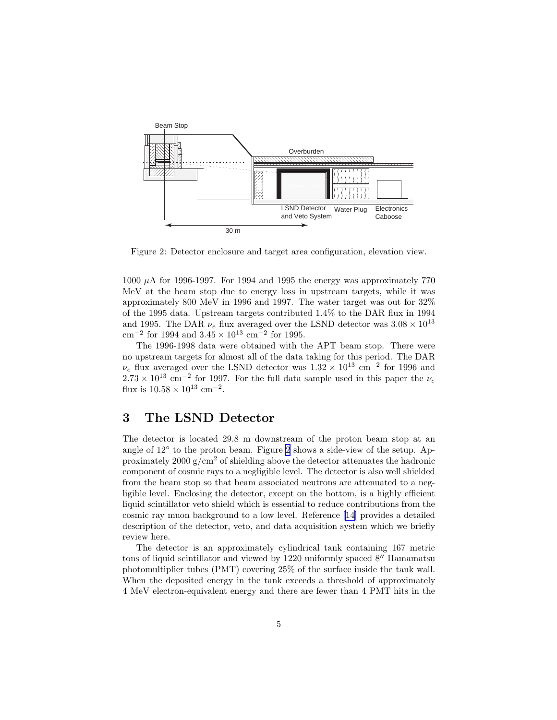<span id="page-6-0"></span>

Figure 2: Detector enclosure and target area configuration, elevation view.

1000  $\mu$ A for 1996-1997. For 1994 and 1995 the energy was approximately 770 MeV at the beam stop due to energy loss in upstream targets, while it was approximately 800 MeV in 1996 and 1997. The water target was out for 32% of the 1995 data. Upstream targets contributed 1.4% to the DAR flux in 1994 and 1995. The DAR  $\nu_e$  flux averaged over the LSND detector was  $3.08 \times 10^{13}$ cm<sup>-2</sup> for 1994 and  $3.45 \times 10^{13}$  cm<sup>-2</sup> for 1995.

The 1996-1998 data were obtained with the APT beam stop. There were no upstream targets for almost all of the data taking for this period. The DAR  $\nu_e$  flux averaged over the LSND detector was  $1.32 \times 10^{13}$  cm<sup>-2</sup> for 1996 and  $2.73 \times 10^{13}$  cm<sup>-2</sup> for 1997. For the full data sample used in this paper the  $\nu_e$ flux is  $10.58 \times 10^{13}$  cm<sup>-2</sup>.

### 3 The LSND Detector

The detector is located 29.8 m downstream of the proton beam stop at an angle of 12◦ to the proton beam. Figure 2 shows a side-view of the setup. Approximately 2000  $g/cm^2$  of shielding above the detector attenuates the hadronic component of cosmic rays to a negligible level. The detector is also well shielded from the beam stop so that beam associated neutrons are attenuated to a negligible level. Enclosing the detector, except on the bottom, is a highly efficient liquid scintillator veto shield which is essential to reduce contributions from the cosmic ray muon background to a low level. Reference[[14\]](#page-34-0) provides a detailed description of the detector, veto, and data acquisition system which we briefly review here.

The detector is an approximately cylindrical tank containing 167 metric tons of liquid scintillator and viewed by 1220 uniformly spaced 8′′ Hamamatsu photomultiplier tubes (PMT) covering 25% of the surface inside the tank wall. When the deposited energy in the tank exceeds a threshold of approximately 4 MeV electron-equivalent energy and there are fewer than 4 PMT hits in the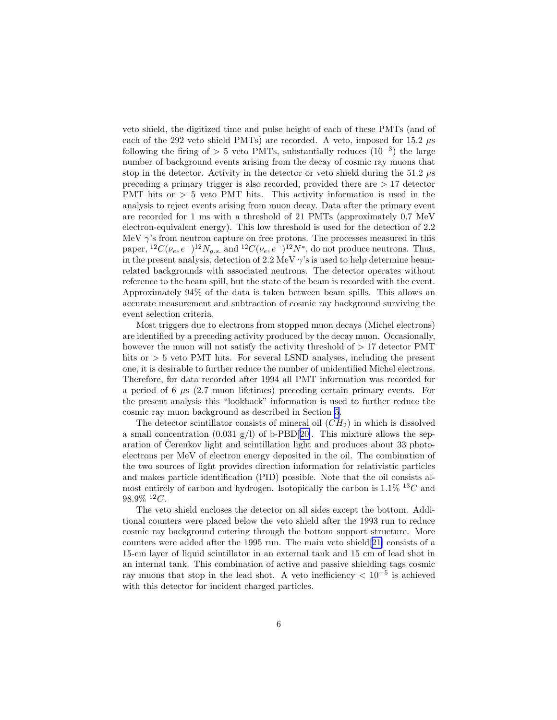veto shield, the digitized time and pulse height of each of these PMTs (and of each of the 292 veto shield PMTs) are recorded. A veto, imposed for 15.2  $\mu$ s following the firing of > 5 veto PMTs, substantially reduces  $(10^{-3})$  the large number of background events arising from the decay of cosmic ray muons that stop in the detector. Activity in the detector or veto shield during the  $51.2 \mu s$ preceding a primary trigger is also recorded, provided there are > 17 detector PMT hits or > 5 veto PMT hits. This activity information is used in the analysis to reject events arising from muon decay. Data after the primary event are recorded for 1 ms with a threshold of 21 PMTs (approximately 0.7 MeV electron-equivalent energy). This low threshold is used for the detection of 2.2 MeV  $\gamma$ 's from neutron capture on free protons. The processes measured in this paper,  ${}^{12}C(\nu_e, e^-){}^{12}N_{g.s.}$  and  ${}^{12}C(\nu_e, e^-){}^{12}N^*$ , do not produce neutrons. Thus, in the present analysis, detection of 2.2 MeV  $\gamma$ 's is used to help determine beamrelated backgrounds with associated neutrons. The detector operates without reference to the beam spill, but the state of the beam is recorded with the event. Approximately 94% of the data is taken between beam spills. This allows an accurate measurement and subtraction of cosmic ray background surviving the event selection criteria.

Most triggers due to electrons from stopped muon decays (Michel electrons) are identified by a preceding activity produced by the decay muon. Occasionally, however the muon will not satisfy the activity threshold of  $> 17$  detector PMT hits or  $> 5$  veto PMT hits. For several LSND analyses, including the present one, it is desirable to further reduce the number of unidentified Michel electrons. Therefore, for data recorded after 1994 all PMT information was recorded for a period of 6  $\mu$ s (2.7 muon lifetimes) preceding certain primary events. For the present analysis this "lookback" information is used to further reduce the cosmic ray muon background as described in Section [5](#page-10-0).

The detector scintillator consists of mineral oil  $(CH<sub>2</sub>)$  in which is dissolved a small concentration  $(0.031 \text{ g/l})$  of b-PBD[[20\]](#page-34-0). This mixture allows the separation of Čerenkov light and scintillation light and produces about  $33$  photoelectrons per MeV of electron energy deposited in the oil. The combination of the two sources of light provides direction information for relativistic particles and makes particle identification (PID) possible. Note that the oil consists almost entirely of carbon and hydrogen. Isotopically the carbon is  $1.1\%$  <sup>13</sup>C and  $98.9\%~^{12}C.$ 

The veto shield encloses the detector on all sides except the bottom. Additional counters were placed below the veto shield after the 1993 run to reduce cosmic ray background entering through the bottom support structure. More counters were added after the 1995 run. The main veto shield[\[21](#page-35-0)] consists of a 15-cm layer of liquid scintillator in an external tank and 15 cm of lead shot in an internal tank. This combination of active and passive shielding tags cosmic ray muons that stop in the lead shot. A veto inefficiency  $\langle 10^{-5} \text{ is achieved} \rangle$ with this detector for incident charged particles.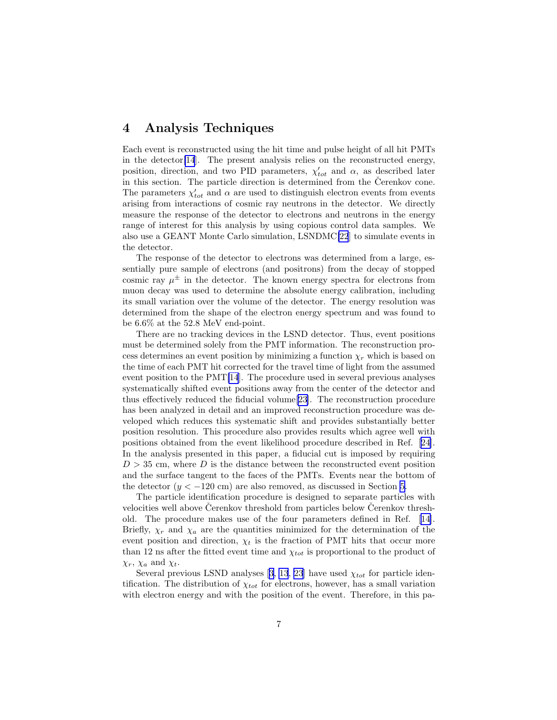#### <span id="page-8-0"></span>4 Analysis Techniques

Each event is reconstructed using the hit time and pulse height of all hit PMTs in the detector[\[14](#page-34-0)]. The present analysis relies on the reconstructed energy, position, direction, and two PID parameters,  $\chi'_{tot}$  and  $\alpha$ , as described later in this section. The particle direction is determined from the Čerenkov cone. The parameters  $\chi_{tot}'$  and  $\alpha$  are used to distinguish electron events from events arising from interactions of cosmic ray neutrons in the detector. We directly measure the response of the detector to electrons and neutrons in the energy range of interest for this analysis by using copious control data samples. We also use a GEANT Monte Carlo simulation, LSNDMC[\[22](#page-35-0)] to simulate events in the detector.

The response of the detector to electrons was determined from a large, essentially pure sample of electrons (and positrons) from the decay of stopped cosmic ray  $\mu^{\pm}$  in the detector. The known energy spectra for electrons from muon decay was used to determine the absolute energy calibration, including its small variation over the volume of the detector. The energy resolution was determined from the shape of the electron energy spectrum and was found to be 6.6% at the 52.8 MeV end-point.

There are no tracking devices in the LSND detector. Thus, event positions must be determined solely from the PMT information. The reconstruction process determines an event position by minimizing a function  $\chi_r$  which is based on the time of each PMT hit corrected for the travel time of light from the assumed event position to the PMT[\[14](#page-34-0)]. The procedure used in several previous analyses systematically shifted event positions away from the center of the detector and thus effectively reduced the fiducial volume[[23\]](#page-35-0). The reconstruction procedure has been analyzed in detail and an improved reconstruction procedure was developed which reduces this systematic shift and provides substantially better position resolution. This procedure also provides results which agree well with positions obtained from the event likelihood procedure described in Ref.[[24\]](#page-35-0). In the analysis presented in this paper, a fiducial cut is imposed by requiring  $D > 35$  cm, where D is the distance between the reconstructed event position and the surface tangent to the faces of the PMTs. Events near the bottom of the detector  $(y < -120$  cm) are also removed, as discussed in Section [5](#page-10-0).

The particle identification procedure is designed to separate particles with velocities well above Cerenkov threshold from particles below Cerenkov threshold. The procedure makes use of the four parameters defined in Ref.[[14\]](#page-34-0). Briefly,  $\chi_r$  and  $\chi_a$  are the quantities minimized for the determination of the event position and direction,  $\chi_t$  is the fraction of PMT hits that occur more than 12 ns after the fitted event time and  $\chi_{tot}$  is proportional to the product of  $\chi_r$ ,  $\chi_a$  and  $\chi_t$ .

Several previous LSND analyses [\[3](#page-34-0), [13](#page-34-0), [23](#page-35-0)] have used  $\chi_{tot}$  for particle identification. The distribution of  $\chi_{tot}$  for electrons, however, has a small variation with electron energy and with the position of the event. Therefore, in this pa-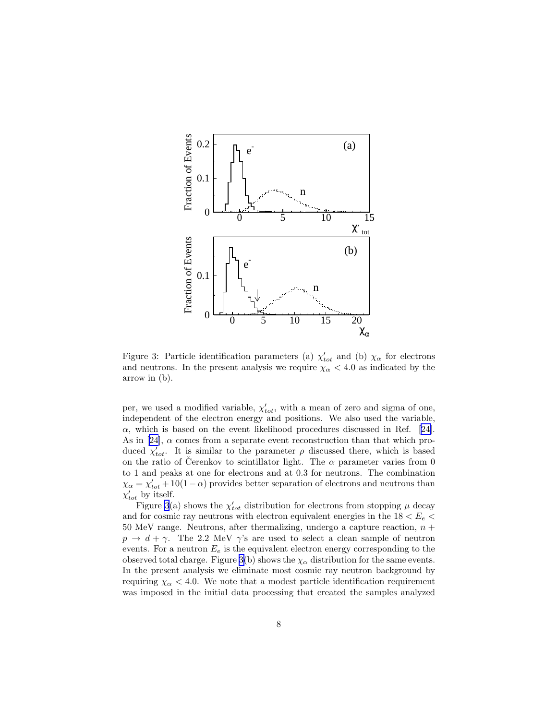

Figure 3: Particle identification parameters (a)  $\chi'_{tot}$  and (b)  $\chi_{\alpha}$  for electrons and neutrons. In the present analysis we require  $\chi_{\alpha} < 4.0$  as indicated by the arrow in (b).

per, we used a modified variable,  $\chi'_{tot}$ , with a mean of zero and sigma of one, independent of the electron energy and positions. We also used the variable,  $\alpha$ ,which is based on the event likelihood procedures discussed in Ref. [[24\]](#page-35-0). As in [\[24](#page-35-0)],  $\alpha$  comes from a separate event reconstruction than that which produced  $\chi'_{tot}$ . It is similar to the parameter  $\rho$  discussed there, which is based on the ratio of Cerenkov to scintillator light. The  $\alpha$  parameter varies from 0 to 1 and peaks at one for electrons and at 0.3 for neutrons. The combination  $\chi_{\alpha} = \chi'_{tot} + 10(1 - \alpha)$  provides better separation of electrons and neutrons than  $\chi'_{tot}$  by itself.

Figure 3(a) shows the  $\chi'_{tot}$  distribution for electrons from stopping  $\mu$  decay and for cosmic ray neutrons with electron equivalent energies in the  $18 < E_e$ 50 MeV range. Neutrons, after thermalizing, undergo a capture reaction,  $n +$  $p \rightarrow d + \gamma$ . The 2.2 MeV  $\gamma$ 's are used to select a clean sample of neutron events. For a neutron  $E_e$  is the equivalent electron energy corresponding to the observed total charge. Figure 3(b) shows the  $\chi_{\alpha}$  distribution for the same events. In the present analysis we eliminate most cosmic ray neutron background by requiring  $\chi_{\alpha}$  < 4.0. We note that a modest particle identification requirement was imposed in the initial data processing that created the samples analyzed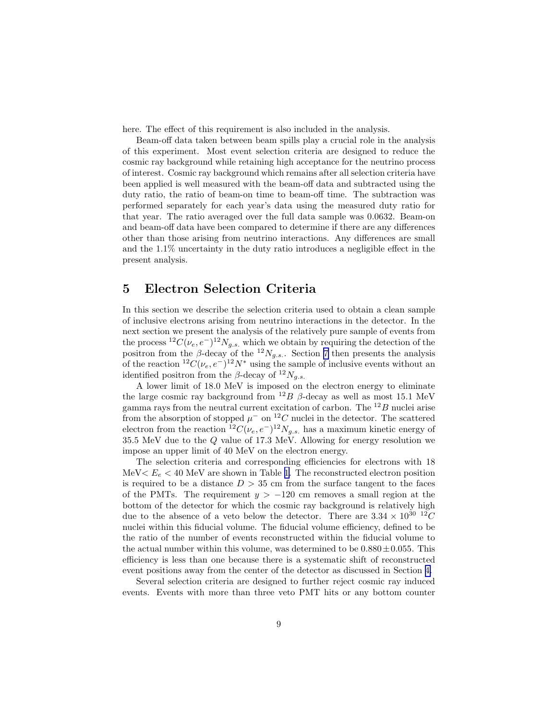<span id="page-10-0"></span>here. The effect of this requirement is also included in the analysis.

Beam-off data taken between beam spills play a crucial role in the analysis of this experiment. Most event selection criteria are designed to reduce the cosmic ray background while retaining high acceptance for the neutrino process of interest. Cosmic ray background which remains after all selection criteria have been applied is well measured with the beam-off data and subtracted using the duty ratio, the ratio of beam-on time to beam-off time. The subtraction was performed separately for each year's data using the measured duty ratio for that year. The ratio averaged over the full data sample was 0.0632. Beam-on and beam-off data have been compared to determine if there are any differences other than those arising from neutrino interactions. Any differences are small and the 1.1% uncertainty in the duty ratio introduces a negligible effect in the present analysis.

#### 5 Electron Selection Criteria

In this section we describe the selection criteria used to obtain a clean sample of inclusive electrons arising from neutrino interactions in the detector. In the next section we present the analysis of the relatively pure sample of events from the process  ${}^{12}C(\nu_e, e^-){}^{12}N_{g.s.}$  which we obtain by requiring the detection of the positron from the  $\beta$ -decay of the  $^{12}N_{g.s.}$ . Section [7](#page-20-0) then presents the analysis of the reaction  ${}^{12}C(\nu_e, e^-){}^{12}N^*$  using the sample of inclusive events without an identified positron from the  $\beta$ -decay of  $^{12}N_{g.s.}$ 

A lower limit of 18.0 MeV is imposed on the electron energy to eliminate the large cosmic ray background from  $^{12}B$   $\beta$ -decay as well as most 15.1 MeV gamma rays from the neutral current excitation of carbon. The  $^{12}B$  nuclei arise from the absorption of stopped  $\mu^-$  on <sup>12</sup>C nuclei in the detector. The scattered electron from the reaction  ${}^{12}C(\nu_e, e^-){}^{12}N_{g.s.}$  has a maximum kinetic energy of 35.5 MeV due to the  $Q$  value of 17.3 MeV. Allowing for energy resolution we impose an upper limit of 40 MeV on the electron energy.

The selection criteria and corresponding efficiencies for electrons with 18 MeV $\lt E_e \lt 40$  MeV are shown in Table [1.](#page-11-0) The reconstructed electron position is required to be a distance  $D > 35$  cm from the surface tangent to the faces of the PMTs. The requirement  $y > -120$  cm removes a small region at the bottom of the detector for which the cosmic ray background is relatively high due to the absence of a veto below the detector. There are  $3.34 \times 10^{30}$   $^{12}C$ nuclei within this fiducial volume. The fiducial volume efficiency, defined to be the ratio of the number of events reconstructed within the fiducial volume to the actual number within this volume, was determined to be  $0.880 \pm 0.055$ . This efficiency is less than one because there is a systematic shift of reconstructed event positions away from the center of the detector as discussed in Section [4.](#page-8-0)

Several selection criteria are designed to further reject cosmic ray induced events. Events with more than three veto PMT hits or any bottom counter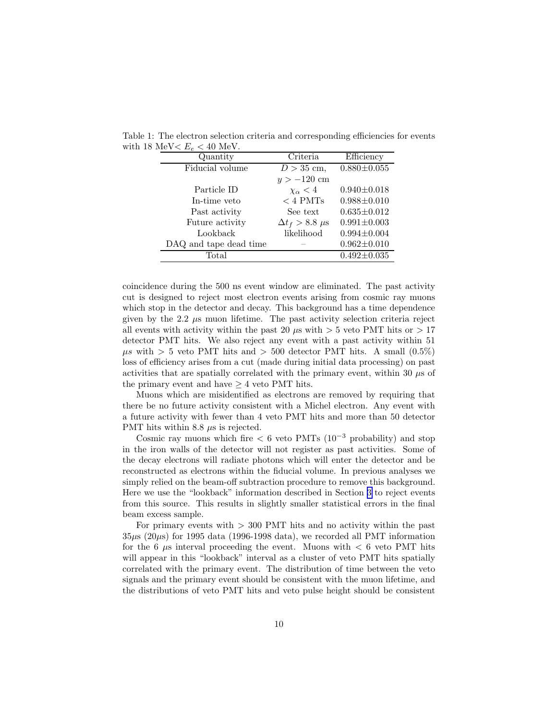| IVIU $V \setminus L\rho \setminus T$ U IVIU $V$ . |                            |                   |
|---------------------------------------------------|----------------------------|-------------------|
| Quantity                                          | Criteria                   | Efficiency        |
| Fiducial volume                                   | $D > 35$ cm,               | $0.880 \pm 0.055$ |
|                                                   | $y > -120$ cm              |                   |
| Particle ID                                       | $\chi_{\alpha}$ < 4        | $0.940 \pm 0.018$ |
| In-time veto                                      | $<$ 4 PMTs                 | $0.988 \pm 0.010$ |
| Past activity                                     | See text                   | $0.635 \pm 0.012$ |
| Future activity                                   | $\Delta t_f > 8.8 \ \mu s$ | $0.991 \pm 0.003$ |
| Lookback                                          | likelihood                 | $0.994 \pm 0.004$ |
| DAQ and tape dead time                            |                            | $0.962 \pm 0.010$ |
| Total                                             |                            | $0.492 \pm 0.035$ |

<span id="page-11-0"></span>Table 1: The electron selection criteria and corresponding efficiencies for events with 18 MeV $\lt E_e \lt 40$  MeV

coincidence during the 500 ns event window are eliminated. The past activity cut is designed to reject most electron events arising from cosmic ray muons which stop in the detector and decay. This background has a time dependence given by the 2.2  $\mu$ s muon lifetime. The past activity selection criteria reject all events with activity within the past 20  $\mu$ s with  $> 5$  veto PMT hits or  $> 17$ detector PMT hits. We also reject any event with a past activity within 51  $\mu s$  with  $> 5$  veto PMT hits and  $> 500$  detector PMT hits. A small  $(0.5\%)$ loss of efficiency arises from a cut (made during initial data processing) on past activities that are spatially correlated with the primary event, within 30  $\mu$ s of the primary event and have  $\geq 4$  veto PMT hits.

Muons which are misidentified as electrons are removed by requiring that there be no future activity consistent with a Michel electron. Any event with a future activity with fewer than 4 veto PMT hits and more than 50 detector PMT hits within 8.8  $\mu$ s is rejected.

Cosmic ray muons which fire  $< 6$  veto PMTs (10<sup>-3</sup> probability) and stop in the iron walls of the detector will not register as past activities. Some of the decay electrons will radiate photons which will enter the detector and be reconstructed as electrons within the fiducial volume. In previous analyses we simply relied on the beam-off subtraction procedure to remove this background. Here we use the "lookback" information described in Section [3](#page-6-0) to reject events from this source. This results in slightly smaller statistical errors in the final beam excess sample.

For primary events with  $>$  300 PMT hits and no activity within the past  $35\mu s$  (20 $\mu s$ ) for 1995 data (1996-1998 data), we recorded all PMT information for the 6  $\mu$ s interval proceeding the event. Muons with  $\lt$  6 veto PMT hits will appear in this "lookback" interval as a cluster of veto PMT hits spatially correlated with the primary event. The distribution of time between the veto signals and the primary event should be consistent with the muon lifetime, and the distributions of veto PMT hits and veto pulse height should be consistent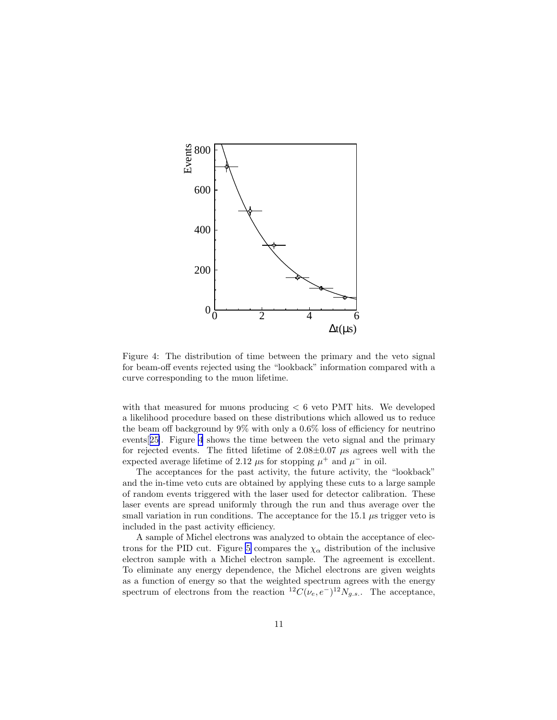

Figure 4: The distribution of time between the primary and the veto signal for beam-off events rejected using the "lookback" information compared with a curve corresponding to the muon lifetime.

with that measured for muons producing  $\lt 6$  veto PMT hits. We developed a likelihood procedure based on these distributions which allowed us to reduce the beam off background by 9% with only a 0.6% loss of efficiency for neutrino events[[25\]](#page-35-0). Figure 4 shows the time between the veto signal and the primary for rejected events. The fitted lifetime of  $2.08\pm0.07$   $\mu$ s agrees well with the expected average lifetime of 2.12  $\mu$ s for stopping  $\mu^+$  and  $\mu^-$  in oil.

The acceptances for the past activity, the future activity, the "lookback" and the in-time veto cuts are obtained by applying these cuts to a large sample of random events triggered with the laser used for detector calibration. These laser events are spread uniformly through the run and thus average over the small variation in run conditions. The acceptance for the 15.1  $\mu$ s trigger veto is included in the past activity efficiency.

A sample of Michel electrons was analyzed to obtain the acceptance of elec-trons for the PID cut. Figure [5](#page-13-0) compares the  $\chi_{\alpha}$  distribution of the inclusive electron sample with a Michel electron sample. The agreement is excellent. To eliminate any energy dependence, the Michel electrons are given weights as a function of energy so that the weighted spectrum agrees with the energy spectrum of electrons from the reaction  ${}^{12}C(\nu_e, e^-){}^{12}N_{g.s.}$ . The acceptance,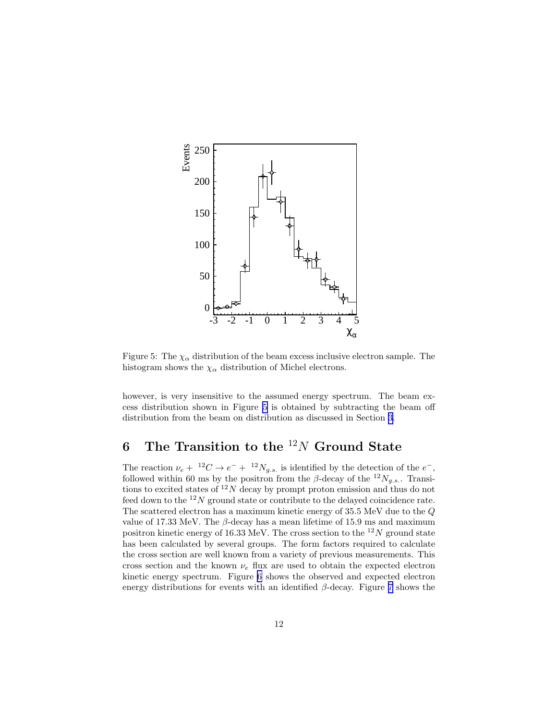<span id="page-13-0"></span>

Figure 5: The  $\chi_{\alpha}$  distribution of the beam excess inclusive electron sample. The histogram shows the  $\chi_{\alpha}$  distribution of Michel electrons.

however, is very insensitive to the assumed energy spectrum. The beam excess distribution shown in Figure 5 is obtained by subtracting the beam off distribution from the beam on distribution as discussed in Section [3.](#page-6-0)

## 6 The Transition to the  $^{12}N$  Ground State

The reaction  $\nu_e + {}^{12}C \rightarrow e^- + {}^{12}N_{g.s.}$  is identified by the detection of the  $e^-$ , followed within 60 ms by the positron from the  $\beta$ -decay of the  $^{12}N_{g.s.}$ . Transitions to excited states of  $12N$  decay by prompt proton emission and thus do not feed down to the  $12N$  ground state or contribute to the delayed coincidence rate. The scattered electron has a maximum kinetic energy of 35.5 MeV due to the Q value of 17.33 MeV. The  $\beta$ -decay has a mean lifetime of 15.9 ms and maximum positron kinetic energy of 16.33 MeV. The cross section to the  $^{12}N$  ground state has been calculated by several groups. The form factors required to calculate the cross section are well known from a variety of previous measurements. This cross section and the known  $\nu_e$  flux are used to obtain the expected electron kinetic energy spectrum. Figure [6](#page-14-0) shows the observed and expected electron energy distributions for events with an identified  $\beta$ -decay. Figure [7](#page-15-0) shows the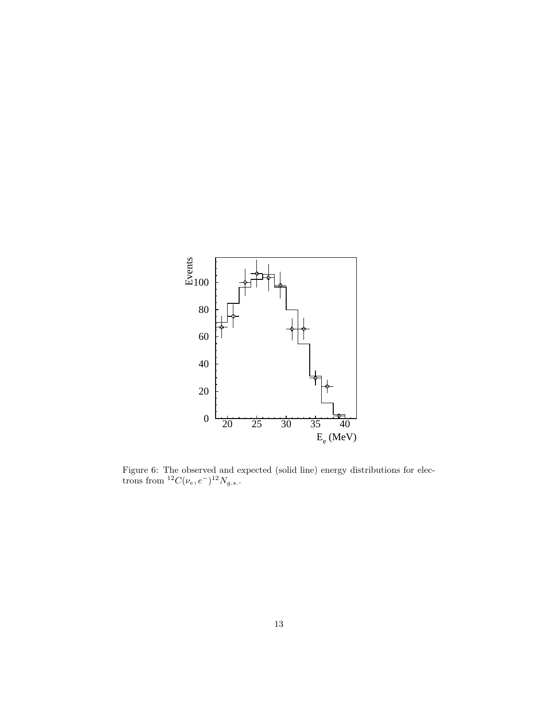<span id="page-14-0"></span>

Figure 6: The observed and expected (solid line) energy distributions for electrons from  ${}^{12}C(\nu_e, e^-){}^{12}N_{g.s.}.$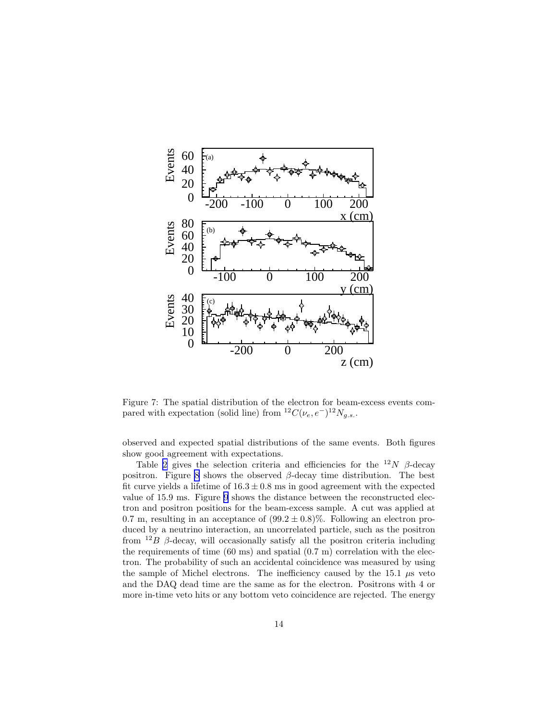<span id="page-15-0"></span>

Figure 7: The spatial distribution of the electron for beam-excess events compared with expectation (solid line) from  ${}^{12}C(\nu_e, e^-){}^{12}N_{g.s.}$ .

observed and expected spatial distributions of the same events. Both figures show good agreement with expectations.

Table [2](#page-16-0) gives the selection criteria and efficiencies for the  $12N$   $\beta$ -decay positron. Figure [8](#page-16-0) shows the observed  $β$ -decay time distribution. The best fit curve yields a lifetime of  $16.3 \pm 0.8$  ms in good agreement with the expected value of 15.9 ms. Figure [9](#page-17-0) shows the distance between the reconstructed electron and positron positions for the beam-excess sample. A cut was applied at 0.7 m, resulting in an acceptance of  $(99.2 \pm 0.8)\%$ . Following an electron produced by a neutrino interaction, an uncorrelated particle, such as the positron from  $12B$  β-decay, will occasionally satisfy all the positron criteria including the requirements of time  $(60 \text{ ms})$  and spatial  $(0.7 \text{ m})$  correlation with the electron. The probability of such an accidental coincidence was measured by using the sample of Michel electrons. The inefficiency caused by the 15.1  $\mu$ s veto and the DAQ dead time are the same as for the electron. Positrons with 4 or more in-time veto hits or any bottom veto coincidence are rejected. The energy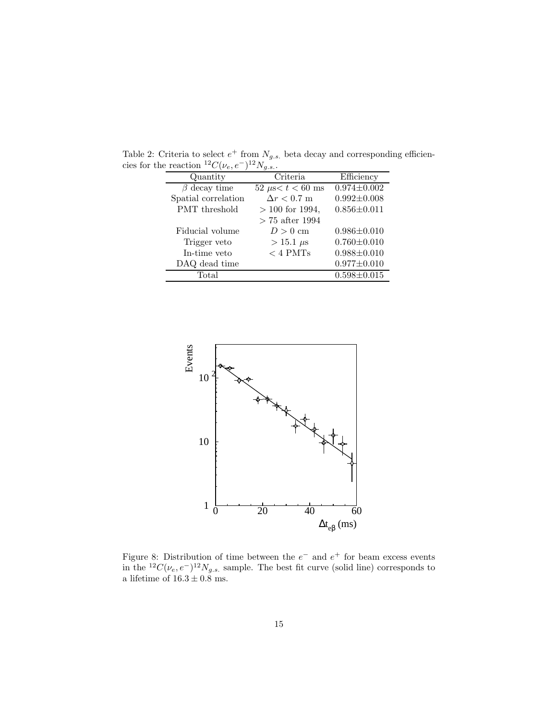| Quantity            | Criteria               | Efficiency        |
|---------------------|------------------------|-------------------|
| $\beta$ decay time  | 52 $\mu$ s < t < 60 ms | $0.974 \pm 0.002$ |
| Spatial correlation | $\Delta r < 0.7$ m     | $0.992 \pm 0.008$ |
| PMT threshold       | $> 100$ for 1994,      | $0.856 \pm 0.011$ |
|                     | $> 75$ after 1994      |                   |
| Fiducial volume     | $D>0$ cm               | $0.986 \pm 0.010$ |
| Trigger veto        | $> 15.1 \ \mu s$       | $0.760 \pm 0.010$ |
| In-time veto        | $< 4$ PMTs             | $0.988 \pm 0.010$ |
| DAQ dead time       |                        | $0.977 \pm 0.010$ |
| Total               |                        | $0.598 \pm 0.015$ |

<span id="page-16-0"></span>Table 2: Criteria to select  $e^+$  from  $N_{g.s.}$  beta decay and corresponding efficiencies for the reaction  ${}^{12}C(\nu_e, e^-){}^{12}N_{g.s.}$ .



Figure 8: Distribution of time between the  $e^-$  and  $e^+$  for beam excess events in the <sup>12</sup>C( $\nu_e, e^{-}$ )<sup>12</sup>N<sub>g.s.</sub> sample. The best fit curve (solid line) corresponds to a lifetime of  $16.3 \pm 0.8$  ms.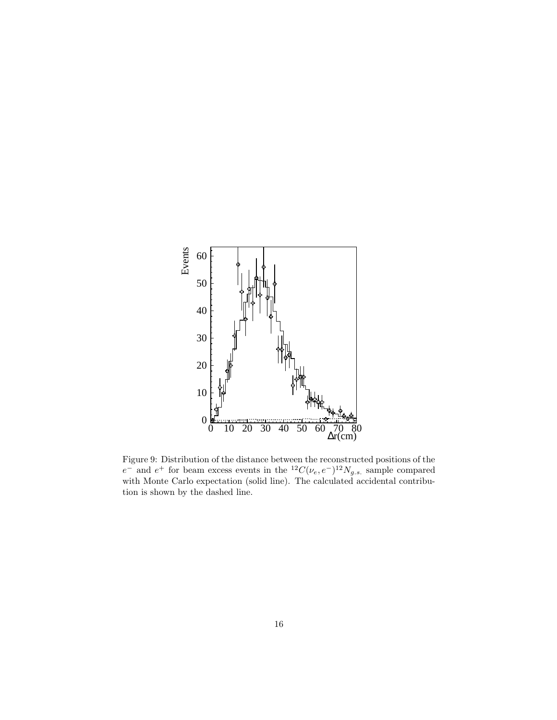<span id="page-17-0"></span>

Figure 9: Distribution of the distance between the reconstructed positions of the  $e^-$  and  $e^+$  for beam excess events in the  ${}^{12}C(\nu_e, e^-){}^{12}N_{g.s.}$  sample compared with Monte Carlo expectation (solid line). The calculated accidental contribution is shown by the dashed line.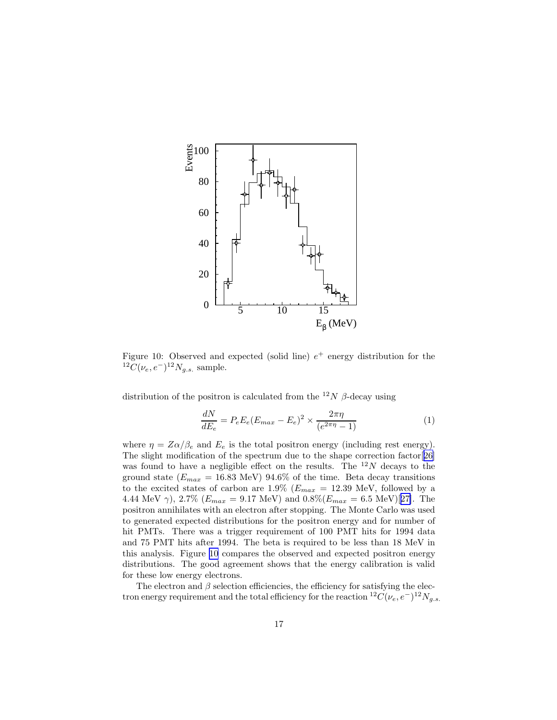

Figure 10: Observed and expected (solid line)  $e^+$  energy distribution for the  ${}^{12}\tilde{C}(\nu_e,e^-){}^{12}N_{g.s.}$  sample.

distribution of the positron is calculated from the <sup>12</sup>N  $\beta$ -decay using

$$
\frac{dN}{dE_e} = P_e E_e (E_{max} - E_e)^2 \times \frac{2\pi\eta}{(e^{2\pi\eta} - 1)}
$$
(1)

where  $\eta = Z\alpha/\beta_e$  and  $E_e$  is the total positron energy (including rest energy). The slight modification of the spectrum due to the shape correction factor[[26\]](#page-35-0) was found to have a negligible effect on the results. The  $^{12}N$  decays to the ground state ( $E_{max}$  = 16.83 MeV) 94.6% of the time. Beta decay transitions to the excited states of carbon are  $1.9\%$  ( $E_{max} = 12.39$  MeV, followed by a 4.44 MeV  $\gamma$ ), 2.7% ( $E_{max} = 9.17 \text{ MeV}$ ) and  $0.8\%$ ( $E_{max} = 6.5 \text{ MeV}$ )[[27\]](#page-35-0). The positron annihilates with an electron after stopping. The Monte Carlo was used to generated expected distributions for the positron energy and for number of hit PMTs. There was a trigger requirement of 100 PMT hits for 1994 data and 75 PMT hits after 1994. The beta is required to be less than 18 MeV in this analysis. Figure 10 compares the observed and expected positron energy distributions. The good agreement shows that the energy calibration is valid for these low energy electrons.

The electron and  $\beta$  selection efficiencies, the efficiency for satisfying the electron energy requirement and the total efficiency for the reaction  ${}^{12}C(\nu_e,e^-){}^{12}N_{g.s.}$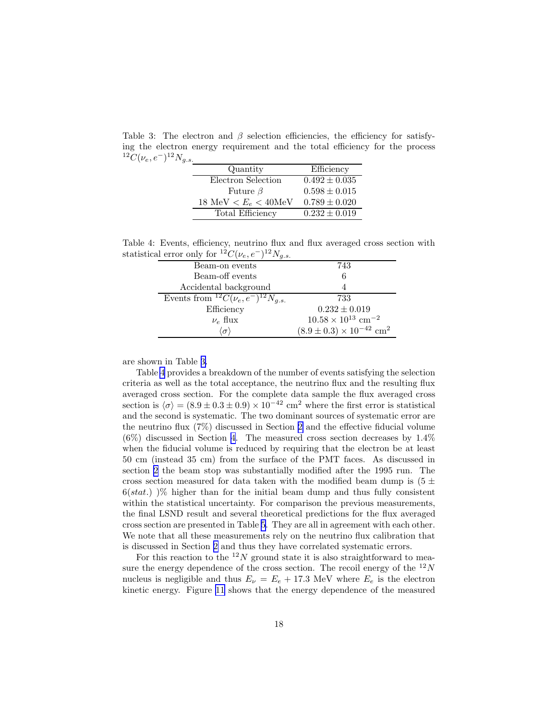Table 3: The electron and  $\beta$  selection efficiencies, the efficiency for satisfying the electron energy requirement and the total efficiency for the process  $^{12}C(\nu_e,e^-)^{12}N_{g.s.}$ 

| Quantity              | Efficiency        |
|-----------------------|-------------------|
| Electron Selection    | $0.492 \pm 0.035$ |
| Future $\beta$        | $0.598 \pm 0.015$ |
| 18 MeV $E_e < 40$ MeV | $0.789 \pm 0.020$ |
| Total Efficiency      | $0.232 \pm 0.019$ |

Table 4: Events, efficiency, neutrino flux and flux averaged cross section with statistical error only for  $^{12}C(\nu_e, e^-)^{12}N_{g.s.}$ 

| ----                                              |                                                 |
|---------------------------------------------------|-------------------------------------------------|
| Beam-on events                                    | 743                                             |
| Beam-off events                                   | 6                                               |
| Accidental background                             |                                                 |
| Events from ${}^{12}C(\nu_e, e^-){}^{12}N_{q.s.}$ | 733                                             |
| Efficiency                                        | $0.232 \pm 0.019$                               |
| $\nu_e$ flux                                      | $10.58 \times 10^{13}$ cm <sup>-2</sup>         |
| $\sigma'$                                         | $(8.9 \pm 0.3) \times 10^{-42}$ cm <sup>2</sup> |

are shown in Table 3.

Table 4 provides a breakdown of the number of events satisfying the selection criteria as well as the total acceptance, the neutrino flux and the resulting flux averaged cross section. For the complete data sample the flux averaged cross section is  $\langle \sigma \rangle = (8.9 \pm 0.3 \pm 0.9) \times 10^{-42}$  cm<sup>2</sup> where the first error is statistical and the second is systematic. The two dominant sources of systematic error are the neutrino flux (7%) discussed in Section [2](#page-4-0) and the effective fiducial volume (6%) discussed in Section [4](#page-8-0). The measured cross section decreases by 1.4% when the fiducial volume is reduced by requiring that the electron be at least 50 cm (instead 35 cm) from the surface of the PMT faces. As discussed in section [2](#page-4-0) the beam stop was substantially modified after the 1995 run. The cross section measured for data taken with the modified beam dump is  $(5 \pm$  $6(stat.)$  )% higher than for the initial beam dump and thus fully consistent within the statistical uncertainty. For comparison the previous measurements, the final LSND result and several theoretical predictions for the flux averaged cross section are presented in Table [5](#page-20-0). They are all in agreement with each other. We note that all these measurements rely on the neutrino flux calibration that is discussed in Section [2](#page-4-0) and thus they have correlated systematic errors.

For this reaction to the  $12N$  ground state it is also straightforward to measure the energy dependence of the cross section. The recoil energy of the  $^{12}N$ nucleus is negligible and thus  $E_{\nu} = E_e + 17.3$  MeV where  $E_e$  is the electron kinetic energy. Figure [11](#page-21-0) shows that the energy dependence of the measured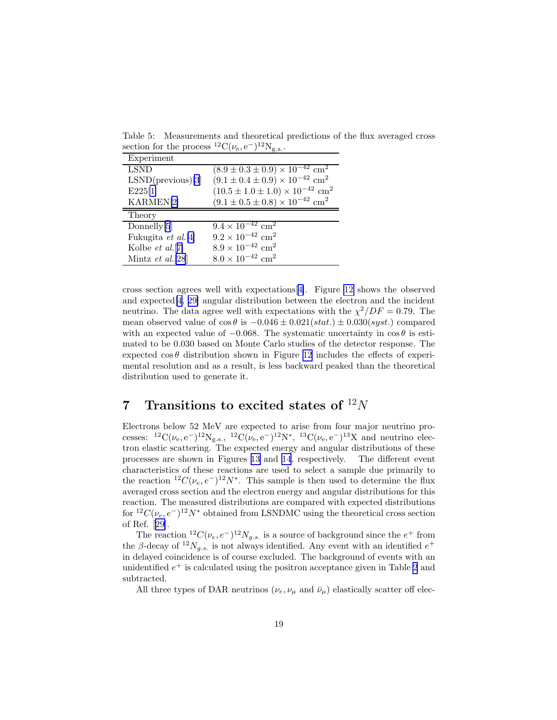<span id="page-20-0"></span>Table 5: Measurements and theoretical predictions of the flux averaged cross section for the process <sup>12</sup>C( $\nu_e$ , e<sup>-</sup>)<sup>12</sup>N<sub>g.s.</sub>.

| Experiment            |                                                                 |
|-----------------------|-----------------------------------------------------------------|
| <b>LSND</b>           | $(8.9 \pm 0.3 \pm 0.9) \times \overline{10^{-42} \text{ cm}^2}$ |
| $LSND$ (previous)[3]  | $(9.1 \pm 0.4 \pm 0.9) \times 10^{-42}$ cm <sup>2</sup>         |
| E225[1]               | $(10.5 \pm 1.0 \pm 1.0) \times 10^{-42}$ cm <sup>2</sup>        |
| KARMEN <sup>[2]</sup> | $(9.1 \pm 0.5 \pm 0.8) \times 10^{-42}$ cm <sup>2</sup>         |
| Theory                |                                                                 |
| Donnelly[5]           | $9.4 \times 10^{-42}$ cm <sup>2</sup>                           |
| Fukugita et al.[4]    | $9.2 \times 10^{-42}$ cm <sup>2</sup>                           |
| Kolbe $et \ al.[7]$   | $8.9 \times 10^{-42}$ cm <sup>2</sup>                           |
| Mintz $et$ al.[28]    | $8.0 \times 10^{-42}$ cm <sup>2</sup>                           |

cross section agrees well with expectations[[4\]](#page-34-0). Figure [12](#page-22-0) shows the observed and expected[\[4](#page-34-0), [29\]](#page-35-0) angular distribution between the electron and the incident neutrino. The data agree well with expectations with the  $\chi^2/DF = 0.79$ . The mean observed value of  $\cos \theta$  is  $-0.046 \pm 0.021(stat.) \pm 0.030(syst.)$  compared with an expected value of  $-0.068$ . The systematic uncertainty in  $\cos \theta$  is estimated to be 0.030 based on Monte Carlo studies of the detector response. The expected  $\cos \theta$  distribution shown in Figure [12](#page-22-0) includes the effects of experimental resolution and as a result, is less backward peaked than the theoretical distribution used to generate it.

## 7 Transitions to excited states of  $12N$

Electrons below 52 MeV are expected to arise from four major neutrino processes:  ${}^{12}C(\nu_e, e^-){}^{12}N_{g.s.}$ ,  ${}^{12}C(\nu_e, e^-){}^{12}N^*$ ,  ${}^{13}C(\nu_e, e^-){}^{13}X$  and neutrino electron elastic scattering. The expected energy and angular distributions of these processes are shown in Figures [13](#page-23-0) and [14](#page-24-0), respectively. The different event characteristics of these reactions are used to select a sample due primarily to the reaction  ${}^{12}C(\nu_e, e^-){}^{12}N^*$ . This sample is then used to determine the flux averaged cross section and the electron energy and angular distributions for this reaction. The measured distributions are compared with expected distributions for  ${}^{12}C(\nu_e, e^-){}^{12}N^*$  obtained from LSNDMC using the theoretical cross section of Ref.[[29\]](#page-35-0).

The reaction  ${}^{12}C(\nu_e, e^-){}^{12}N_{g.s.}$  is a source of background since the  $e^+$  from the  $\beta$ -decay of  $^{12}N_{g.s.}$  is not always identified. Any event with an identified  $e^+$ in delayed coincidence is of course excluded. The background of events with an unidentified  $e^+$  is calculated using the positron acceptance given in Table [2](#page-16-0) and subtracted.

All three types of DAR neutrinos  $(\nu_e, \nu_\mu$  and  $\bar{\nu}_\mu$ ) elastically scatter off elec-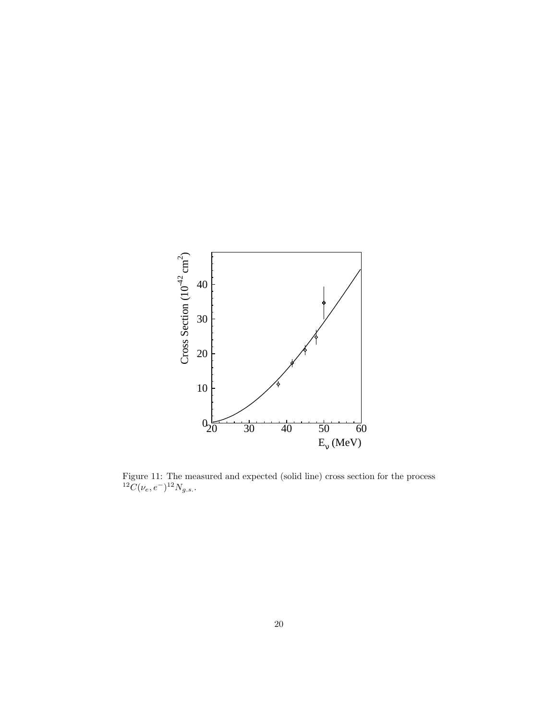<span id="page-21-0"></span>

Figure 11: The measured and expected (solid line) cross section for the process  ${}^{12}\tilde{C}(\nu_e,e^-){}^{12}N_{g.s.}.$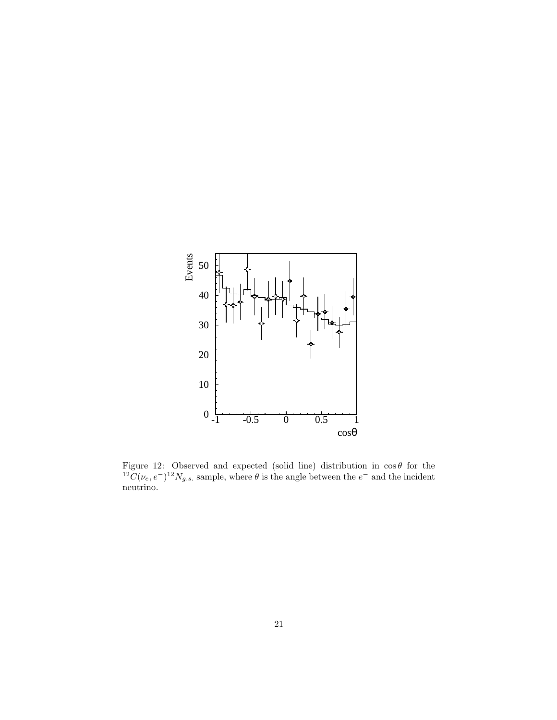<span id="page-22-0"></span>

Figure 12: Observed and expected (solid line) distribution in  $\cos \theta$  for the <sup>12</sup>C( $\nu_e$ ,  $e^{-}$ )<sup>12</sup>N<sub>g.s.</sub> sample, where  $\theta$  is the angle between the  $e^{-}$  and the incident neutrino.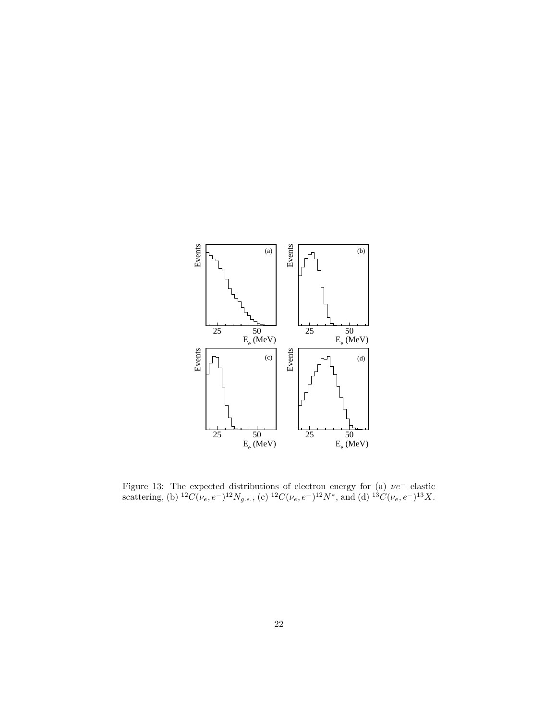<span id="page-23-0"></span>

Figure 13: The expected distributions of electron energy for (a)  $\nu e^-$  elastic scattering, (b)  ${}^{12}C(\nu_e, e^-){}^{12}N_{g.s.}$ , (c)  ${}^{12}C(\nu_e, e^-){}^{12}N^*$ , and (d)  ${}^{13}C(\nu_e, e^-){}^{13}X$ .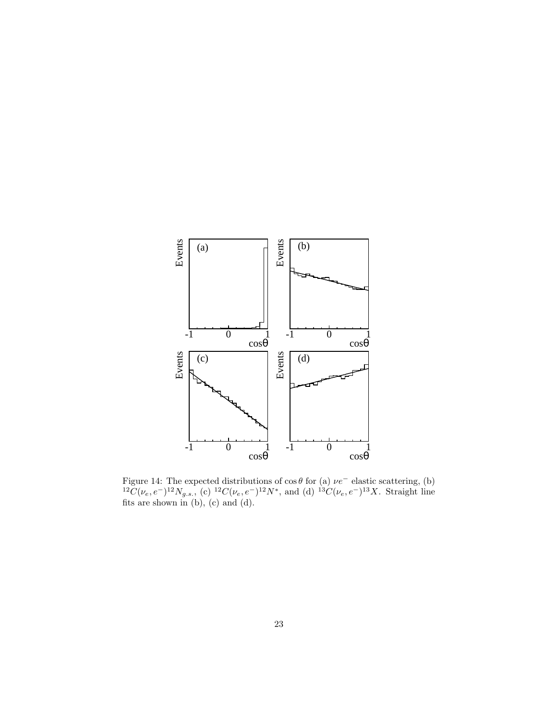<span id="page-24-0"></span>

Figure 14: The expected distributions of  $\cos \theta$  for (a)  $\nu e^-$  elastic scattering, (b)  ${}^{12}\tilde{C}(\nu_e,e^-){}^{12}N_{g.s.}$ , (c)  ${}^{12}C(\nu_e,e^-){}^{12}N^*$ , and (d)  ${}^{13}C(\nu_e,e^-){}^{13}X$ . Straight line fits are shown in (b), (c) and (d).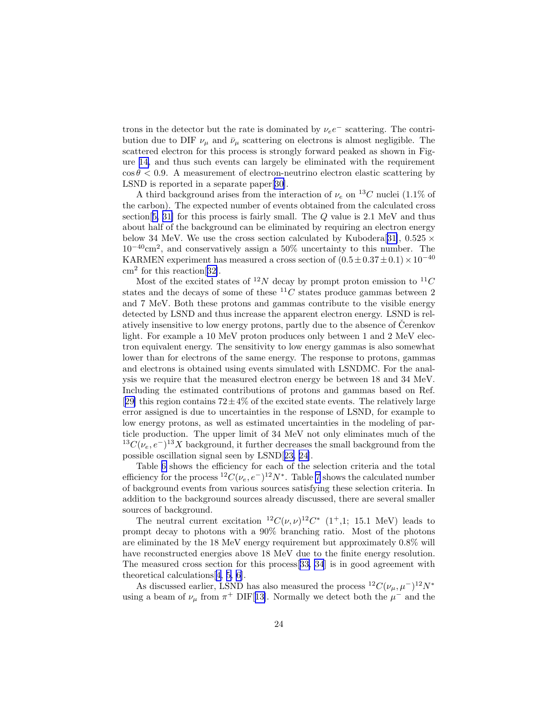trons in the detector but the rate is dominated by  $\nu_e e^-$  scattering. The contribution due to DIF  $\nu_{\mu}$  and  $\bar{\nu}_{\mu}$  scattering on electrons is almost negligible. The scattered electron for this process is strongly forward peaked as shown in Figure [14,](#page-24-0) and thus such events can largely be eliminated with the requirement  $\cos \theta < 0.9$ . A measurement of electron-neutrino electron elastic scattering by LSND is reported in a separate paper[[30\]](#page-35-0).

A third background arises from the interaction of  $\nu_e$  on <sup>13</sup>C nuclei (1.1% of the carbon). The expected number of events obtained from the calculated cross section[[5,](#page-34-0) [31\]](#page-35-0) for this process is fairly small. The Q value is 2.1 MeV and thus about half of the background can be eliminated by requiring an electron energy below 34 MeV. We use the cross section calculated by Kubodera[[31\]](#page-35-0),  $0.525 \times$ 10−40cm<sup>2</sup> , and conservatively assign a 50% uncertainty to this number. The KARMEN experiment has measured a cross section of  $(0.5 \pm 0.37 \pm 0.1) \times 10^{-40}$ cm<sup>2</sup> for this reaction[[32\]](#page-35-0).

Most of the excited states of <sup>12</sup>N decay by prompt proton emission to <sup>11</sup>C states and the decays of some of these  ${}^{11}C$  states produce gammas between 2 and 7 MeV. Both these protons and gammas contribute to the visible energy detected by LSND and thus increase the apparent electron energy. LSND is relatively insensitive to low energy protons, partly due to the absence of Cerenkov light. For example a 10 MeV proton produces only between 1 and 2 MeV electron equivalent energy. The sensitivity to low energy gammas is also somewhat lower than for electrons of the same energy. The response to protons, gammas and electrons is obtained using events simulated with LSNDMC. For the analysis we require that the measured electron energy be between 18 and 34 MeV. Including the estimated contributions of protons and gammas based on Ref. [[29\]](#page-35-0) this region contains  $72 \pm 4\%$  of the excited state events. The relatively large error assigned is due to uncertainties in the response of LSND, for example to low energy protons, as well as estimated uncertainties in the modeling of particle production. The upper limit of 34 MeV not only eliminates much of the  $^{13}C(\nu_e, e^-)^{13}X$  background, it further decreases the small background from the possible oscillation signal seen by LSND[[23, 24\]](#page-35-0).

Table [6](#page-26-0) shows the efficiency for each of the selection criteria and the total efficiency for the process  ${}^{12}C(\nu_e, e^-){}^{12}N^*$ . Table [7](#page-26-0) shows the calculated number of background events from various sources satisfying these selection criteria. In addition to the background sources already discussed, there are several smaller sources of background.

The neutral current excitation  ${}^{12}C(\nu,\nu){}^{12}C^*$  (1<sup>+</sup>,1; 15.1 MeV) leads to prompt decay to photons with a 90% branching ratio. Most of the photons are eliminated by the 18 MeV energy requirement but approximately 0.8% will have reconstructed energies above 18 MeV due to the finite energy resolution. The measured cross section for this process[[33, 34](#page-35-0)] is in good agreement with theoretical calculations[[4, 5, 6\]](#page-34-0).

As discussed earlier, LSND has also measured the process  ${}^{12}C(\nu_{\mu}, \mu^{-}){}^{12}N^*$ using a beam of  $\nu_{\mu}$  from  $\pi^{+}$  DIF[[13\]](#page-34-0). Normally we detect both the  $\mu^{-}$  and the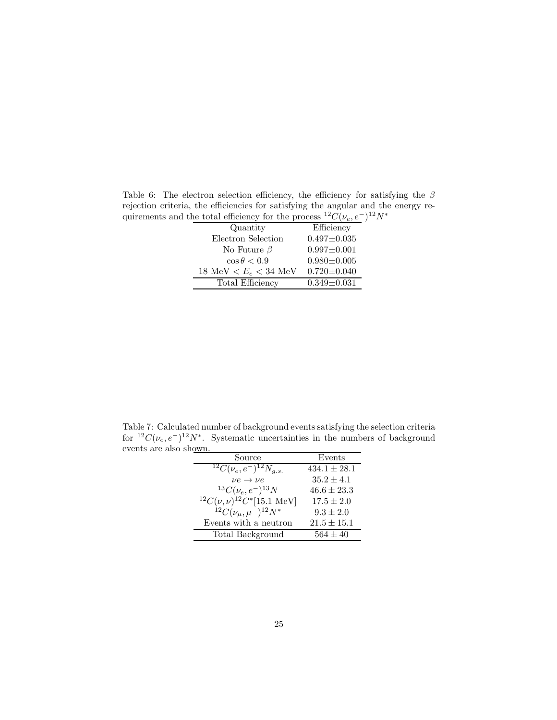<span id="page-26-0"></span>Table 6: The electron selection efficiency, the efficiency for satisfying the  $\beta$ rejection criteria, the efficiencies for satisfying the angular and the energy requirements and the total efficiency for the process  ${}^{12}C(\nu_e, e^-){}^{12}N^*$ 

| Quantity              | Efficiency        |
|-----------------------|-------------------|
| Electron Selection    | $0.497 \pm 0.035$ |
| No Future $\beta$     | $0.997 \pm 0.001$ |
| $\cos \theta < 0.9$   | $0.980 \pm 0.005$ |
| 18 MeV $E_e < 34$ MeV | $0.720 \pm 0.040$ |
| Total Efficiency      | $0.349 \pm 0.031$ |

Table 7: Calculated number of background events satisfying the selection criteria for <sup>12</sup>C( $\nu_e$ ,  $e^{-}$ )<sup>12</sup>N<sup>\*</sup>. Systematic uncertainties in the numbers of background events are also shown.

| Source                                          | Events           |
|-------------------------------------------------|------------------|
| $^{12}C(\nu_e,e^{-})^{12}N_{q.s.}$              | $434.1 \pm 28.1$ |
| $\nu e \rightarrow \nu e$                       | $35.2 \pm 4.1$   |
| ${}^{13}C(\nu_e,e^-){}^{13}N$                   | $46.6 \pm 23.3$  |
| ${}^{12}C(\nu,\nu){}^{12}C^*[15.1 \text{ MeV}]$ | $17.5 \pm 2.0$   |
| $^{12}C(\nu_{\mu},\mu^{-})^{12}N^{*}$           | $9.3 \pm 2.0$    |
| Events with a neutron                           | $21.5 \pm 15.1$  |
| Total Background                                | $564 \pm 40$     |
|                                                 |                  |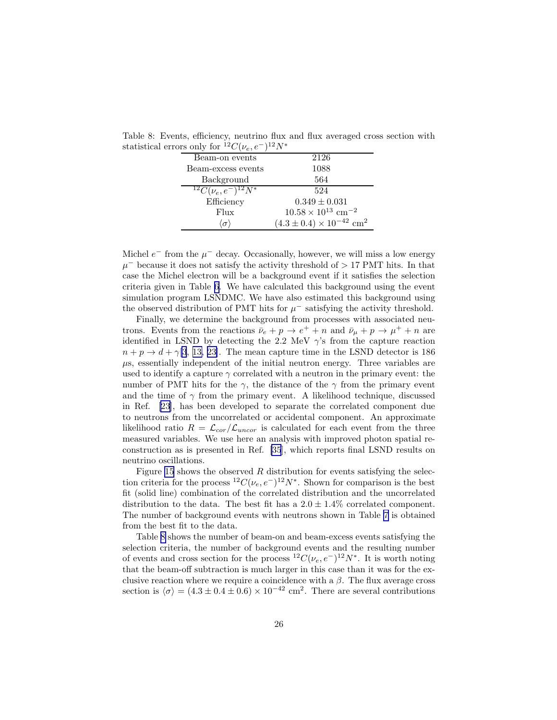| 10 0111 y 101<br>$\vee$ ( $\nu$ $\rho$ , $\vee$ | $\cdots$                                        |
|-------------------------------------------------|-------------------------------------------------|
| Beam-on events                                  | 2126                                            |
| Beam-excess events                              | 1088                                            |
| Background                                      | 564                                             |
| ${}^{12}C(\nu_e,e^-){}^{12}N^*$                 | 524                                             |
| Efficiency                                      | $0.349 \pm 0.031$                               |
| Flux                                            | $10.58 \times 10^{13}$ cm <sup>-2</sup>         |
| $\sigma$                                        | $(4.3 \pm 0.4) \times 10^{-42}$ cm <sup>2</sup> |

Table 8: Events, efficiency, neutrino flux and flux averaged cross section with statistical errors only for  $^{12}C(\nu_e, e^-)^{12}N^*$ 

Michel  $e^-$  from the  $\mu^-$  decay. Occasionally, however, we will miss a low energy  $\mu^-$  because it does not satisfy the activity threshold of > 17 PMT hits. In that case the Michel electron will be a background event if it satisfies the selection criteria given in Table [6.](#page-26-0) We have calculated this background using the event simulation program LSNDMC. We have also estimated this background using the observed distribution of PMT hits for  $\mu^-$  satisfying the activity threshold.

Finally, we determine the background from processes with associated neutrons. Events from the reactions  $\bar{\nu}_e + p \to e^+ + n$  and  $\bar{\nu}_\mu + p \to \mu^+ + n$  are identified in LSND by detecting the 2.2 MeV  $\gamma$ 's from the capture reaction  $n + p \rightarrow d + \gamma$  3, [13,](#page-34-0) 23. The mean capture time in the LSND detector is 186  $\mu$ s, essentially independent of the initial neutron energy. Three variables are used to identify a capture  $\gamma$  correlated with a neutron in the primary event: the number of PMT hits for the  $\gamma$ , the distance of the  $\gamma$  from the primary event and the time of  $\gamma$  from the primary event. A likelihood technique, discussed in Ref.[[23\]](#page-35-0), has been developed to separate the correlated component due to neutrons from the uncorrelated or accidental component. An approximate likelihood ratio  $R = \mathcal{L}_{cor}/\mathcal{L}_{uncor}$  is calculated for each event from the three measured variables. We use here an analysis with improved photon spatial reconstruction as is presented in Ref. [\[35](#page-35-0)], which reports final LSND results on neutrino oscillations.

Figure [15](#page-28-0) shows the observed  $R$  distribution for events satisfying the selection criteria for the process  ${}^{12}C(\nu_e, e^-){}^{12}N^*$ . Shown for comparison is the best fit (solid line) combination of the correlated distribution and the uncorrelated distribution to the data. The best fit has a  $2.0 \pm 1.4\%$  correlated component. The number of background events with neutrons shown in Table [7](#page-26-0) is obtained from the best fit to the data.

Table 8 shows the number of beam-on and beam-excess events satisfying the selection criteria, the number of background events and the resulting number of events and cross section for the process  ${}^{12}C(\nu_e, e^-){}^{12}N^*$ . It is worth noting that the beam-off subtraction is much larger in this case than it was for the exclusive reaction where we require a coincidence with a  $\beta$ . The flux average cross section is  $\langle \sigma \rangle = (4.3 \pm 0.4 \pm 0.6) \times 10^{-42}$  cm<sup>2</sup>. There are several contributions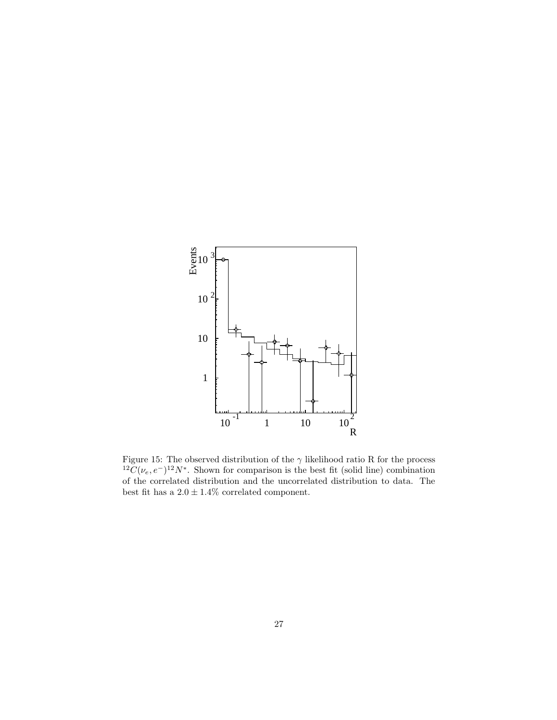<span id="page-28-0"></span>

Figure 15: The observed distribution of the  $\gamma$  likelihood ratio R for the process  ${}^{12}\tilde{C}(\nu_e,e^-){}^{12}N^*$ . Shown for comparison is the best fit (solid line) combination of the correlated distribution and the uncorrelated distribution to data. The best fit has a  $2.0\pm1.4\%$  correlated component.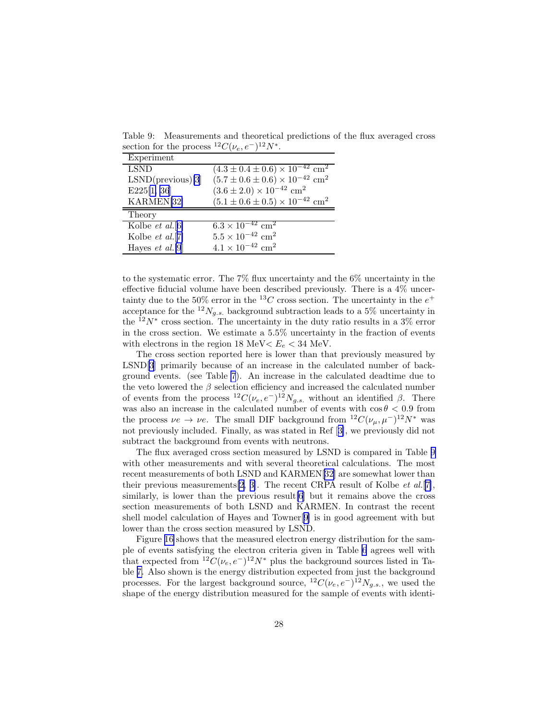Table 9: Measurements and theoretical predictions of the flux averaged cross section for the process  ${}^{12}C(\nu_e, e^-){}^{12}N^*$ .

| Experiment           |                                                                                |
|----------------------|--------------------------------------------------------------------------------|
| <b>LSND</b>          | $(4.3 \pm 0.4 \pm 0.6) \times 10^{-42}$ cm <sup>2</sup>                        |
| $LSND$ (previous)[3] | $(5.7 \pm 0.6 \pm 0.6) \times 10^{-42}$ cm <sup>2</sup>                        |
| E225[1, 36]          | $(3.6 \pm 2.0) \times 10^{-42}$ cm <sup>2</sup>                                |
| KARMEN[32]           | $(5.1 \pm 0.6 \pm 0.5) \times 10^{-42}$ cm <sup>2</sup>                        |
| Theory               |                                                                                |
|                      |                                                                                |
| Kolbe $et al.[6]$    | $6.3 \times 10^{-42}$ cm <sup>2</sup>                                          |
| Kolbe $et$ al.[7]    | $5.5 \times 10^{-42}$ cm <sup>2</sup><br>$4.1 \times 10^{-42}$ cm <sup>2</sup> |

to the systematic error. The 7% flux uncertainty and the 6% uncertainty in the effective fiducial volume have been described previously. There is a 4% uncertainty due to the 50% error in the <sup>13</sup>C cross section. The uncertainty in the  $e^+$ acceptance for the  $^{12}N_{q.s.}$  background subtraction leads to a 5% uncertainty in the  $12N^*$  cross section. The uncertainty in the duty ratio results in a 3% error in the cross section. We estimate a 5.5% uncertainty in the fraction of events with electrons in the region 18 MeV $< E_e < 34$  MeV.

The cross section reported here is lower than that previously measured by LSND[\[3](#page-34-0)] primarily because of an increase in the calculated number of background events. (see Table [7](#page-26-0)). An increase in the calculated deadtime due to the veto lowered the  $\beta$  selection efficiency and increased the calculated number of events from the process  ${}^{12}C(\nu_e, e^-){}^{12}N_{g.s.}$  without an identified  $\beta$ . There was also an increase in the calculated number of events with  $\cos \theta < 0.9$  from the process  $\nu e \to \nu e$ . The small DIF background from <sup>12</sup>C( $\nu_\mu$ ,  $\mu^-$ )<sup>12</sup>N<sup>\*</sup> was not previously included. Finally, as was stated in Ref[[3\]](#page-34-0), we previously did not subtract the background from events with neutrons.

The flux averaged cross section measured by LSND is compared in Table 9 with other measurements and with several theoretical calculations. The most recent measurements of both LSND and KARMEN[[32\]](#page-35-0) are somewhat lower than their previous measurements [\[2](#page-34-0), [3\]](#page-34-0). The recent CRPA result of Kolbe *et al.* [[7\]](#page-34-0), similarly, is lower than the previous result  $[6]$  $[6]$  but it remains above the cross section measurements of both LSND and KARMEN. In contrast the recent shell model calculation of Hayes and Towner[\[9\]](#page-34-0) is in good agreement with but lower than the cross section measured by LSND.

Figure [16](#page-30-0) shows that the measured electron energy distribution for the sample of events satisfying the electron criteria given in Table [6](#page-26-0) agrees well with that expected from  ${}^{12}C(\nu_e, e^-){}^{12}N^*$  plus the background sources listed in Table [7.](#page-26-0) Also shown is the energy distribution expected from just the background processes. For the largest background source,  ${}^{12}C(\nu_e, e^{-}){}^{12}N_{g.s.}$ , we used the shape of the energy distribution measured for the sample of events with identi-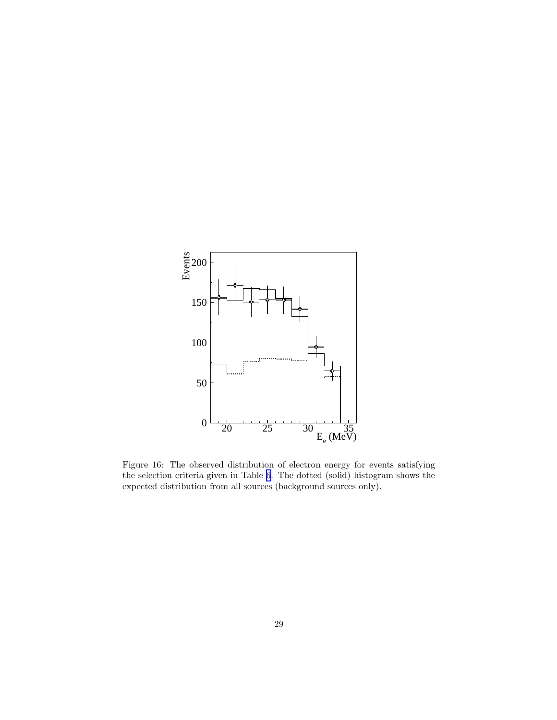<span id="page-30-0"></span>

Figure 16: The observed distribution of electron energy for events satisfying the selection criteria given in Table [6.](#page-26-0) The dotted (solid) histogram shows the expected distribution from all sources (background sources only).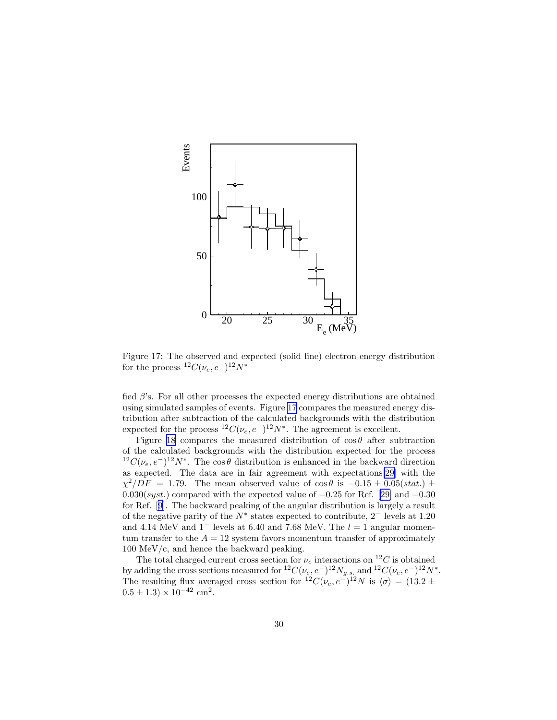

Figure 17: The observed and expected (solid line) electron energy distribution for the process  ${}^{12}C(\nu_e, e^-){}^{12}N^*$ 

fied  $\beta$ 's. For all other processes the expected energy distributions are obtained using simulated samples of events. Figure 17 compares the measured energy distribution after subtraction of the calculated backgrounds with the distribution expected for the process  ${}^{12}C(\nu_e, e^-){}^{12}N^*$ . The agreement is excellent.

Figure [18](#page-32-0) compares the measured distribution of  $\cos \theta$  after subtraction of the calculated backgrounds with the distribution expected for the process <sup>12</sup>C( $\nu_e, e^-$ )<sup>12</sup>N<sup>\*</sup>. The cos  $\theta$  distribution is enhanced in the backward direction as expected. The data are in fair agreement with expectations[\[29\]](#page-35-0) with the  $\chi^2/DF = 1.79$ . The mean observed value of cos  $\theta$  is  $-0.15 \pm 0.05(stat.) \pm$  $0.030(syst.)$  compared with the expected value of  $-0.25$  for Ref. [\[29\]](#page-35-0) and  $-0.30$ for Ref.[[9\]](#page-34-0). The backward peaking of the angular distribution is largely a result of the negative parity of the  $N^*$  states expected to contribute, 2<sup>-</sup> levels at 1.20 and 4.14 MeV and  $1^-$  levels at 6.40 and 7.68 MeV. The  $l = 1$  angular momentum transfer to the  $A = 12$  system favors momentum transfer of approximately 100 MeV/c, and hence the backward peaking.

The total charged current cross section for  $\nu_e$  interactions on  $^{12}C$  is obtained by adding the cross sections measured for  ${}^{12}C(\nu_e, e^-){}^{12}N_{g.s.}$  and  ${}^{12}C(\nu_e, e^-){}^{12}N^*$ . The resulting flux averaged cross section for  ${}^{12}C(\nu_e, e^-){}^{12}N$  is  $\langle \sigma \rangle = (13.2 \pm 10^{-4})$  $0.5 \pm 1.3 \times 10^{-42}$  cm<sup>2</sup>.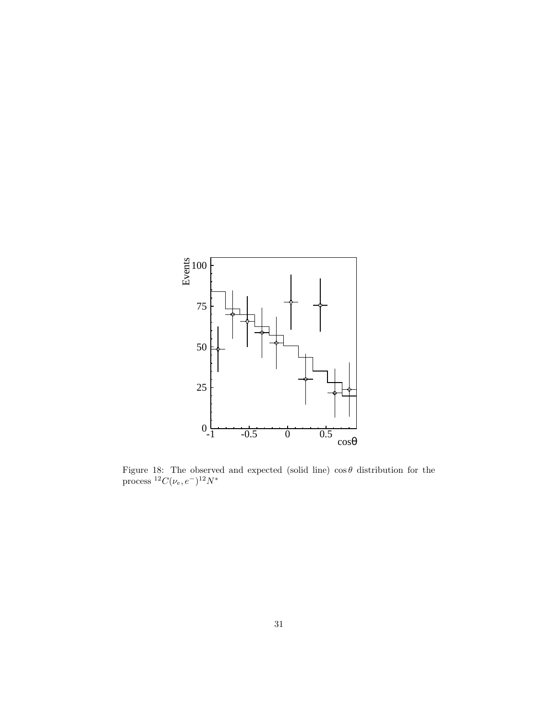<span id="page-32-0"></span>

Figure 18: The observed and expected (solid line)  $\cos \theta$  distribution for the process  ${}^{12}C(\nu_e,e^-){}^{12}N^*$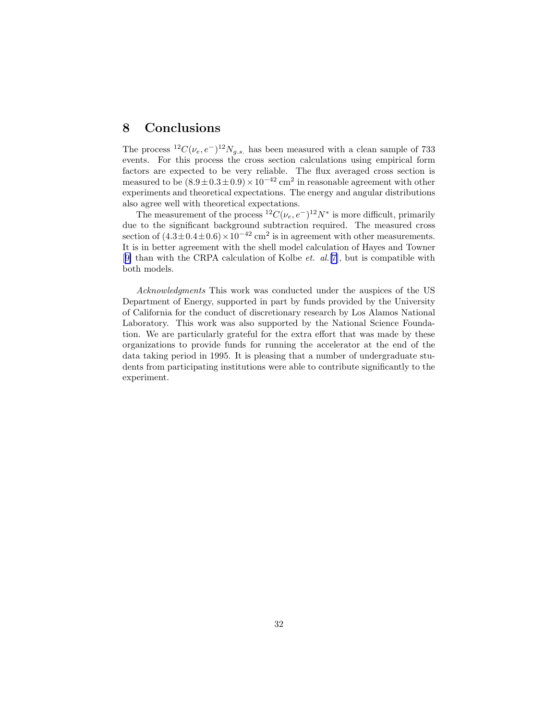### 8 Conclusions

The process  ${}^{12}C(\nu_e, e^-){}^{12}N_{g.s.}$  has been measured with a clean sample of 733 events. For this process the cross section calculations using empirical form factors are expected to be very reliable. The flux averaged cross section is measured to be  $(8.9 \pm 0.3 \pm 0.9) \times 10^{-42}$  cm<sup>2</sup> in reasonable agreement with other experiments and theoretical expectations. The energy and angular distributions also agree well with theoretical expectations.

The measurement of the process  ${}^{12}C(\nu_e, e^-){}^{12}N^*$  is more difficult, primarily due to the significant background subtraction required. The measured cross section of  $(4.3 \pm 0.4 \pm 0.6) \times 10^{-42}$  cm<sup>2</sup> is in agreement with other measurements. It is in better agreement with the shell model calculation of Hayes and Towner [[9\]](#page-34-0) than with the CRPA calculation of Kolbe *et. al.*[[7](#page-34-0)], but is compatible with both models.

Acknowledgments This work was conducted under the auspices of the US Department of Energy, supported in part by funds provided by the University of California for the conduct of discretionary research by Los Alamos National Laboratory. This work was also supported by the National Science Foundation. We are particularly grateful for the extra effort that was made by these organizations to provide funds for running the accelerator at the end of the data taking period in 1995. It is pleasing that a number of undergraduate students from participating institutions were able to contribute significantly to the experiment.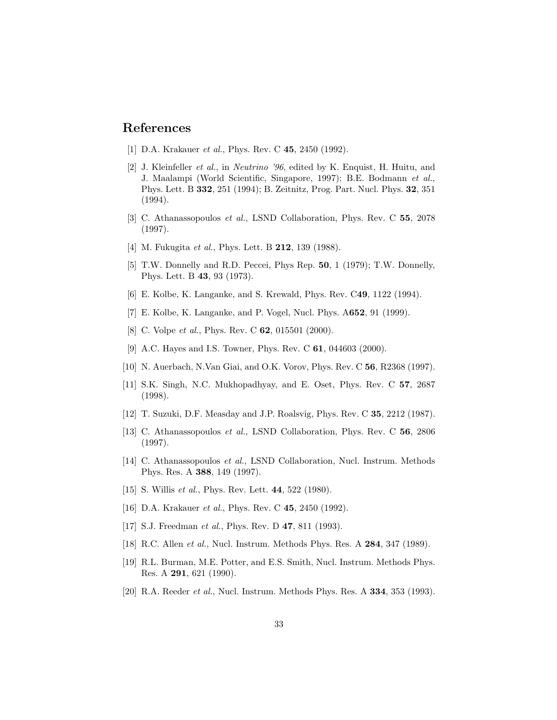### <span id="page-34-0"></span>References

- [1] D.A. Krakauer *et al.*, Phys. Rev. C **45**, 2450 (1992).
- [2] J. Kleinfeller et al., in Neutrino '96, edited by K. Enquist, H. Huitu, and J. Maalampi (World Scientific, Singapore, 1997); B.E. Bodmann et al., Phys. Lett. B 332, 251 (1994); B. Zeitnitz, Prog. Part. Nucl. Phys. 32, 351 (1994).
- [3] C. Athanassopoulos et al., LSND Collaboration, Phys. Rev. C 55, 2078 (1997).
- [4] M. Fukugita *et al.*, Phys. Lett. B **212**, 139 (1988).
- [5] T.W. Donnelly and R.D. Peccei, Phys Rep. 50, 1 (1979); T.W. Donnelly, Phys. Lett. B 43, 93 (1973).
- [6] E. Kolbe, K. Langanke, and S. Krewald, Phys. Rev. C49, 1122 (1994).
- [7] E. Kolbe, K. Langanke, and P. Vogel, Nucl. Phys. A652, 91 (1999).
- [8] C. Volpe *et al.*, Phys. Rev. C **62**, 015501 (2000).
- [9] A.C. Hayes and I.S. Towner, Phys. Rev. C **61**, 044603 (2000).
- [10] N. Auerbach, N.Van Giai, and O.K. Vorov, Phys. Rev. C 56, R2368 (1997).
- [11] S.K. Singh, N.C. Mukhopadhyay, and E. Oset, Phys. Rev. C 57, 2687 (1998).
- [12] T. Suzuki, D.F. Measday and J.P. Roalsvig, Phys. Rev. C 35, 2212 (1987).
- [13] C. Athanassopoulos et al., LSND Collaboration, Phys. Rev. C 56, 2806 (1997).
- [14] C. Athanassopoulos et al., LSND Collaboration, Nucl. Instrum. Methods Phys. Res. A 388, 149 (1997).
- [15] S. Willis *et al.*, Phys. Rev. Lett. **44**, 522 (1980).
- [16] D.A. Krakauer *et al.*, Phys. Rev. C **45**, 2450 (1992).
- [17] S.J. Freedman *et al.*, Phys. Rev. D **47**, 811 (1993).
- [18] R.C. Allen *et al.*, Nucl. Instrum. Methods Phys. Res. A **284**, 347 (1989).
- [19] R.L. Burman, M.E. Potter, and E.S. Smith, Nucl. Instrum. Methods Phys. Res. A 291, 621 (1990).
- [20] R.A. Reeder *et al.*, Nucl. Instrum. Methods Phys. Res. A **334**, 353 (1993).